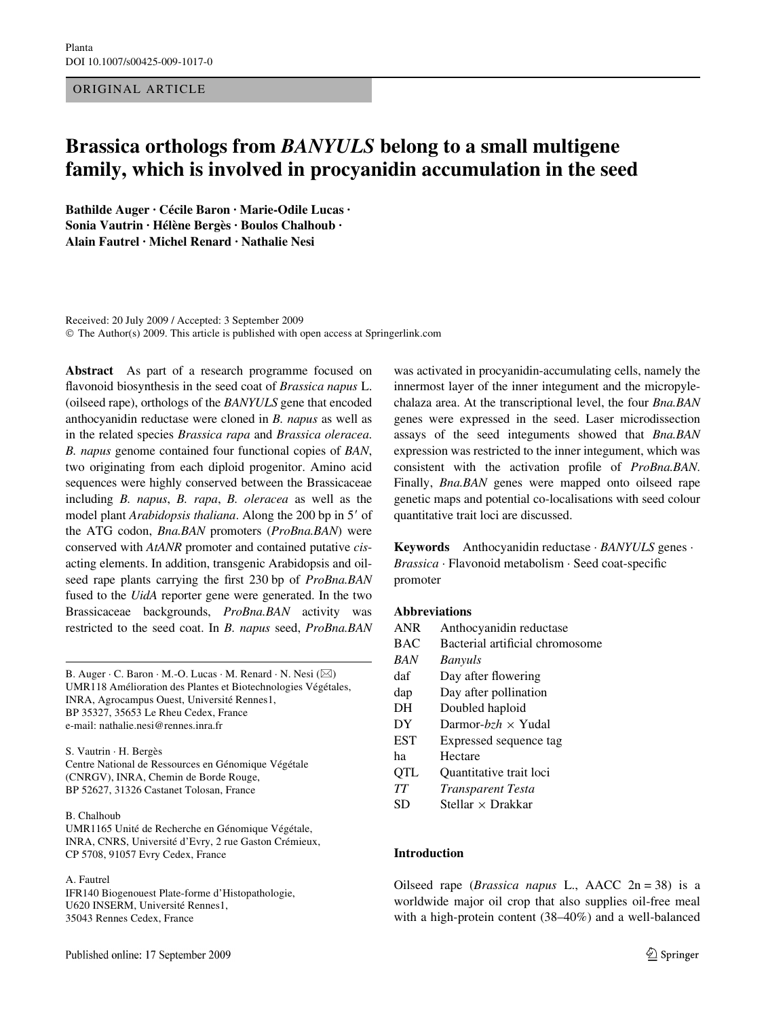## ORIGINAL ARTICLE

# **Brassica orthologs from** *BANYULS* **belong to a small multigene family, which is involved in procyanidin accumulation in the seed**

**Bathilde Auger · Cécile Baron · Marie-Odile Lucas · Sonia Vautrin · Hélène Bergès · Boulos Chalhoub · Alain Fautrel · Michel Renard · Nathalie Nesi** 

Received: 20 July 2009 / Accepted: 3 September 2009 © The Author(s) 2009. This article is published with open access at Springerlink.com

**Abstract** As part of a research programme focused on flavonoid biosynthesis in the seed coat of *Brassica napus* L. (oilseed rape), orthologs of the *BANYULS* gene that encoded anthocyanidin reductase were cloned in *B. napus* as well as in the related species *Brassica rapa* and *Brassica oleracea*. *B. napus* genome contained four functional copies of *BAN*, two originating from each diploid progenitor. Amino acid sequences were highly conserved between the Brassicaceae including *B. napus*, *B. rapa*, *B. oleracea* as well as the model plant *Arabidopsis thaliana*. Along the 200 bp in 5' of the ATG codon, *Bna.BAN* promoters (*ProBna.BAN*) were conserved with *AtANR* promoter and contained putative *cis*acting elements. In addition, transgenic Arabidopsis and oilseed rape plants carrying the first 230 bp of *ProBna.BAN* fused to the *UidA* reporter gene were generated. In the two Brassicaceae backgrounds, *ProBna.BAN* activity was restricted to the seed coat. In *B. napus* seed, *ProBna.BAN*

B. Auger  $\cdot$  C. Baron  $\cdot$  M.-O. Lucas  $\cdot$  M. Renard  $\cdot$  N. Nesi ( $\boxtimes$ ) UMR118 Amélioration des Plantes et Biotechnologies Végétales, INRA, Agrocampus Ouest, Université Rennes1, BP 35327, 35653 Le Rheu Cedex, France e-mail: nathalie.nesi@rennes.inra.fr

S. Vautrin · H. Bergès Centre National de Ressources en Génomique Végétale (CNRGV), INRA, Chemin de Borde Rouge, BP 52627, 31326 Castanet Tolosan, France

#### B. Chalhoub

UMR1165 Unité de Recherche en Génomique Végétale, INRA, CNRS, Université d'Evry, 2 rue Gaston Crémieux, CP 5708, 91057 Evry Cedex, France

A. Fautrel

IFR140 Biogenouest Plate-forme d'Histopathologie, U620 INSERM, Université Rennes1, 35043 Rennes Cedex, France

was activated in procyanidin-accumulating cells, namely the innermost layer of the inner integument and the micropylechalaza area. At the transcriptional level, the four *Bna.BAN* genes were expressed in the seed. Laser microdissection assays of the seed integuments showed that *Bna.BAN* expression was restricted to the inner integument, which was consistent with the activation profile of *ProBna.BAN*. Finally, *Bna.BAN* genes were mapped onto oilseed rape genetic maps and potential co-localisations with seed colour quantitative trait loci are discussed.

**Keywords** Anthocyanidin reductase · *BANYULS* genes ·  $Brassica \cdot Flavonoid metabolism \cdot Seed coat-specific$ promoter

### **Abbreviations**

- ANR Anthocyanidin reductase
- BAC Bacterial artificial chromosome
- *BAN Banyuls*
- daf Day after flowering
- dap Day after pollination
- DH Doubled haploid
- $DY$  Darmor- $bzh \times Y$ udal
- EST Expressed sequence tag
- ha Hectare
- QTL Quantitative trait loci
- *TT Transparent Testa*
- $SD$  Stellar  $\times$  Drakkar

## **Introduction**

Oilseed rape (*Brassica napus* L., AACC 2n = 38) is a worldwide major oil crop that also supplies oil-free meal with a high-protein content (38–40%) and a well-balanced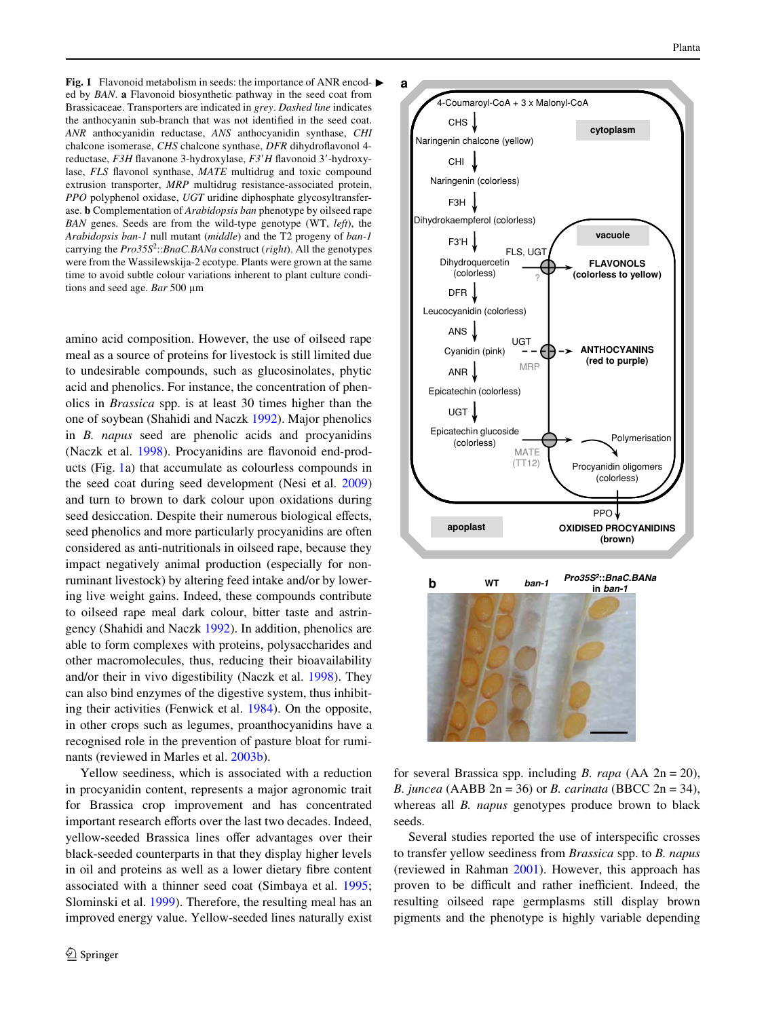<span id="page-1-0"></span>**Fig. 1** Flavonoid metabolism in seeds: the importance of ANR encoded by *BAN*. **a** Flavonoid biosynthetic pathway in the seed coat from Brassicaceae. Transporters are indicated in *grey*. *Dashed line* indicates the anthocyanin sub-branch that was not identified in the seed coat. *ANR* anthocyanidin reductase, *ANS* anthocyanidin synthase, *CHI* chalcone isomerase, *CHS* chalcone synthase, *DFR* dihydroflavonol 4reductase, *F3H* flavanone 3-hydroxylase, *F3'H* flavonoid 3'-hydroxylase, FLS flavonol synthase, MATE multidrug and toxic compound extrusion transporter, *MRP* multidrug resistance-associated protein, *PPO* polyphenol oxidase, *UGT* uridine diphosphate glycosyltransferase. **b** Complementation of *Arabidopsis ban* phenotype by oilseed rape *BAN* genes. Seeds are from the wild-type genotype (WT, *left*), the *Arabidopsis ban-1* null mutant (*middle*) and the T2 progeny of *ban-1* carrying the *Pro35S*<sup>2</sup> ::*BnaC.BANa* construct (*right*). All the genotypes were from the Wassilewskija-2 ecotype. Plants were grown at the same time to avoid subtle colour variations inherent to plant culture conditions and seed age. *Bar* 500 µm

amino acid composition. However, the use of oilseed rape meal as a source of proteins for livestock is still limited due to undesirable compounds, such as glucosinolates, phytic acid and phenolics. For instance, the concentration of phenolics in *Brassica* spp. is at least 30 times higher than the one of soybean (Shahidi and Naczk [1992\)](#page-15-0). Major phenolics in *B. napus* seed are phenolic acids and procyanidins (Naczk et al. [1998\)](#page-15-1). Procyanidins are flavonoid end-products (Fig. [1](#page-1-0)a) that accumulate as colourless compounds in the seed coat during seed development (Nesi et al. [2009\)](#page-15-2) and turn to brown to dark colour upon oxidations during seed desiccation. Despite their numerous biological effects, seed phenolics and more particularly procyanidins are often considered as anti-nutritionals in oilseed rape, because they impact negatively animal production (especially for nonruminant livestock) by altering feed intake and/or by lowering live weight gains. Indeed, these compounds contribute to oilseed rape meal dark colour, bitter taste and astringency (Shahidi and Naczk [1992\)](#page-15-0). In addition, phenolics are able to form complexes with proteins, polysaccharides and other macromolecules, thus, reducing their bioavailability and/or their in vivo digestibility (Naczk et al. [1998\)](#page-15-1). They can also bind enzymes of the digestive system, thus inhibiting their activities (Fenwick et al. [1984](#page-14-0)). On the opposite, in other crops such as legumes, proanthocyanidins have a recognised role in the prevention of pasture bloat for ruminants (reviewed in Marles et al. [2003b](#page-15-3)).

Yellow seediness, which is associated with a reduction in procyanidin content, represents a major agronomic trait for Brassica crop improvement and has concentrated important research efforts over the last two decades. Indeed, vellow-seeded Brassica lines offer advantages over their black-seeded counterparts in that they display higher levels in oil and proteins as well as a lower dietary fibre content associated with a thinner seed coat (Simbaya et al. [1995](#page-15-4); Slominski et al. [1999](#page-15-5)). Therefore, the resulting meal has an improved energy value. Yellow-seeded lines naturally exist



for several Brassica spp. including *B. rapa* (AA 2n = 20), *B. juncea* (AABB 2n = 36) or *B. carinata* (BBCC 2n = 34), whereas all *B. napus* genotypes produce brown to black seeds.

Several studies reported the use of interspecific crosses to transfer yellow seediness from *Brassica* spp. to *B. napus* (reviewed in Rahman [2001](#page-15-6)). However, this approach has proven to be difficult and rather inefficient. Indeed, the resulting oilseed rape germplasms still display brown pigments and the phenotype is highly variable depending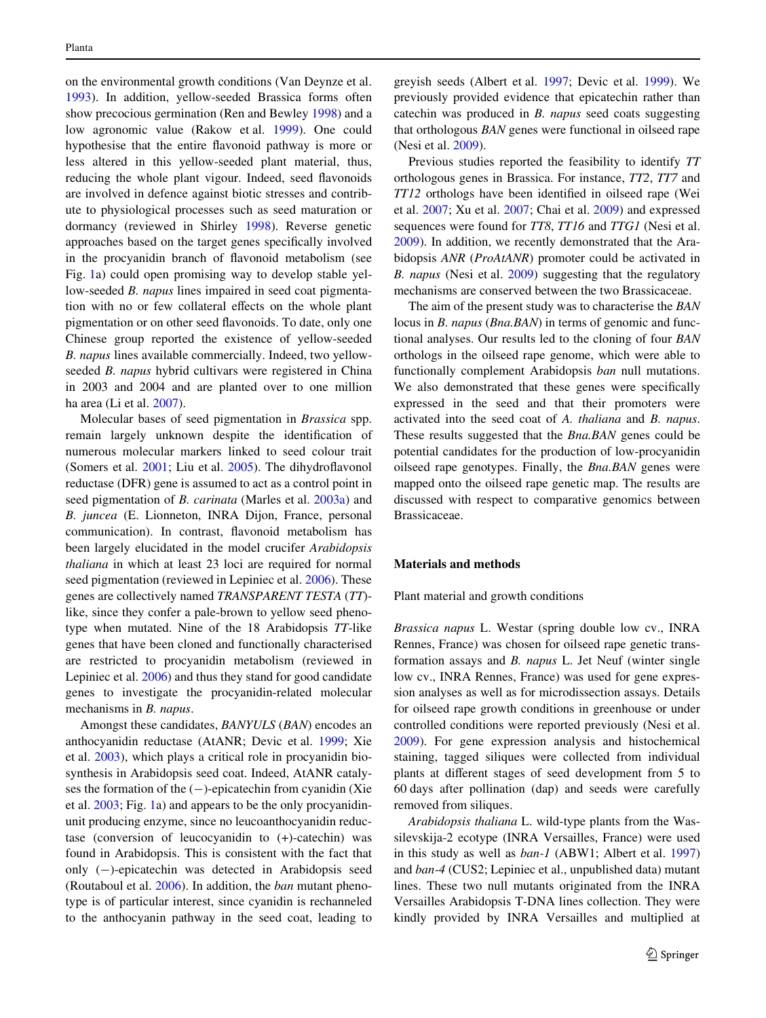on the environmental growth conditions (Van Deynze et al. [1993](#page-16-0)). In addition, yellow-seeded Brassica forms often show precocious germination (Ren and Bewley [1998](#page-15-7)) and a low agronomic value (Rakow et al. [1999](#page-15-8)). One could hypothesise that the entire flavonoid pathway is more or less altered in this yellow-seeded plant material, thus, reducing the whole plant vigour. Indeed, seed flavonoids are involved in defence against biotic stresses and contribute to physiological processes such as seed maturation or dormancy (reviewed in Shirley [1998\)](#page-15-9). Reverse genetic approaches based on the target genes specifically involved in the procyanidin branch of flavonoid metabolism (see Fig. [1](#page-1-0)a) could open promising way to develop stable yellow-seeded *B. napus* lines impaired in seed coat pigmentation with no or few collateral effects on the whole plant pigmentation or on other seed flavonoids. To date, only one Chinese group reported the existence of yellow-seeded *B. napus* lines available commercially. Indeed, two yellowseeded *B. napus* hybrid cultivars were registered in China in 2003 and 2004 and are planted over to one million ha area (Li et al. [2007\)](#page-15-10).

Molecular bases of seed pigmentation in *Brassica* spp. remain largely unknown despite the identification of numerous molecular markers linked to seed colour trait (Somers et al.  $2001$ ; Liu et al.  $2005$ ). The dihydroflavonol reductase (DFR) gene is assumed to act as a control point in seed pigmentation of *B. carinata* (Marles et al. [2003a](#page-15-13)) and *B. juncea* (E. Lionneton, INRA Dijon, France, personal communication). In contrast, flavonoid metabolism has been largely elucidated in the model crucifer *Arabidopsis thaliana* in which at least 23 loci are required for normal seed pigmentation (reviewed in Lepiniec et al. [2006](#page-15-14)). These genes are collectively named *TRANSPARENT TESTA* (*TT*) like, since they confer a pale-brown to yellow seed phenotype when mutated. Nine of the 18 Arabidopsis *TT*-like genes that have been cloned and functionally characterised are restricted to procyanidin metabolism (reviewed in Lepiniec et al. [2006](#page-15-14)) and thus they stand for good candidate genes to investigate the procyanidin-related molecular mechanisms in *B. napus*.

Amongst these candidates, *BANYULS* (*BAN*) encodes an anthocyanidin reductase (AtANR; Devic et al. [1999;](#page-14-1) Xie et al. [2003\)](#page-16-1), which plays a critical role in procyanidin biosynthesis in Arabidopsis seed coat. Indeed, AtANR catalyses the formation of the  $(-)$ -epicatechin from cyanidin (Xie et al. [2003;](#page-16-1) Fig. [1](#page-1-0)a) and appears to be the only procyanidinunit producing enzyme, since no leucoanthocyanidin reductase (conversion of leucocyanidin to (+)-catechin) was found in Arabidopsis. This is consistent with the fact that only  $(-)$ -epicatechin was detected in Arabidopsis seed (Routaboul et al. [2006\)](#page-15-15). In addition, the *ban* mutant phenotype is of particular interest, since cyanidin is rechanneled to the anthocyanin pathway in the seed coat, leading to greyish seeds (Albert et al. [1997;](#page-14-2) Devic et al. [1999](#page-14-1)). We previously provided evidence that epicatechin rather than catechin was produced in *B. napus* seed coats suggesting that orthologous *BAN* genes were functional in oilseed rape (Nesi et al. [2009](#page-15-2)).

Previous studies reported the feasibility to identify *TT* orthologous genes in Brassica. For instance, *TT2*, *TT7* and *TT12* orthologs have been identified in oilseed rape (Wei et al. [2007](#page-16-2); Xu et al. [2007;](#page-16-3) Chai et al. [2009](#page-14-3)) and expressed sequences were found for *TT8*, *TT16* and *TTG1* (Nesi et al. [2009](#page-15-2)). In addition, we recently demonstrated that the Arabidopsis *ANR* (*ProAtANR*) promoter could be activated in *B. napus* (Nesi et al. [2009\)](#page-15-2) suggesting that the regulatory mechanisms are conserved between the two Brassicaceae.

The aim of the present study was to characterise the *BAN* locus in *B. napus* (*Bna.BAN*) in terms of genomic and functional analyses. Our results led to the cloning of four *BAN* orthologs in the oilseed rape genome, which were able to functionally complement Arabidopsis *ban* null mutations. We also demonstrated that these genes were specifically expressed in the seed and that their promoters were activated into the seed coat of *A. thaliana* and *B. napus*. These results suggested that the *Bna.BAN* genes could be potential candidates for the production of low-procyanidin oilseed rape genotypes. Finally, the *Bna.BAN* genes were mapped onto the oilseed rape genetic map. The results are discussed with respect to comparative genomics between Brassicaceae.

## <span id="page-2-0"></span>**Materials and methods**

Plant material and growth conditions

*Brassica napus* L. Westar (spring double low cv., INRA Rennes, France) was chosen for oilseed rape genetic transformation assays and *B. napus* L. Jet Neuf (winter single low cv., INRA Rennes, France) was used for gene expression analyses as well as for microdissection assays. Details for oilseed rape growth conditions in greenhouse or under controlled conditions were reported previously (Nesi et al. [2009](#page-15-2)). For gene expression analysis and histochemical staining, tagged siliques were collected from individual plants at different stages of seed development from 5 to 60 days after pollination (dap) and seeds were carefully removed from siliques.

*Arabidopsis thaliana* L. wild-type plants from the Wassilevskija-2 ecotype (INRA Versailles, France) were used in this study as well as *ban-1* (ABW1; Albert et al. [1997\)](#page-14-2) and *ban-4* (CUS2; Lepiniec et al., unpublished data) mutant lines. These two null mutants originated from the INRA Versailles Arabidopsis T-DNA lines collection. They were kindly provided by INRA Versailles and multiplied at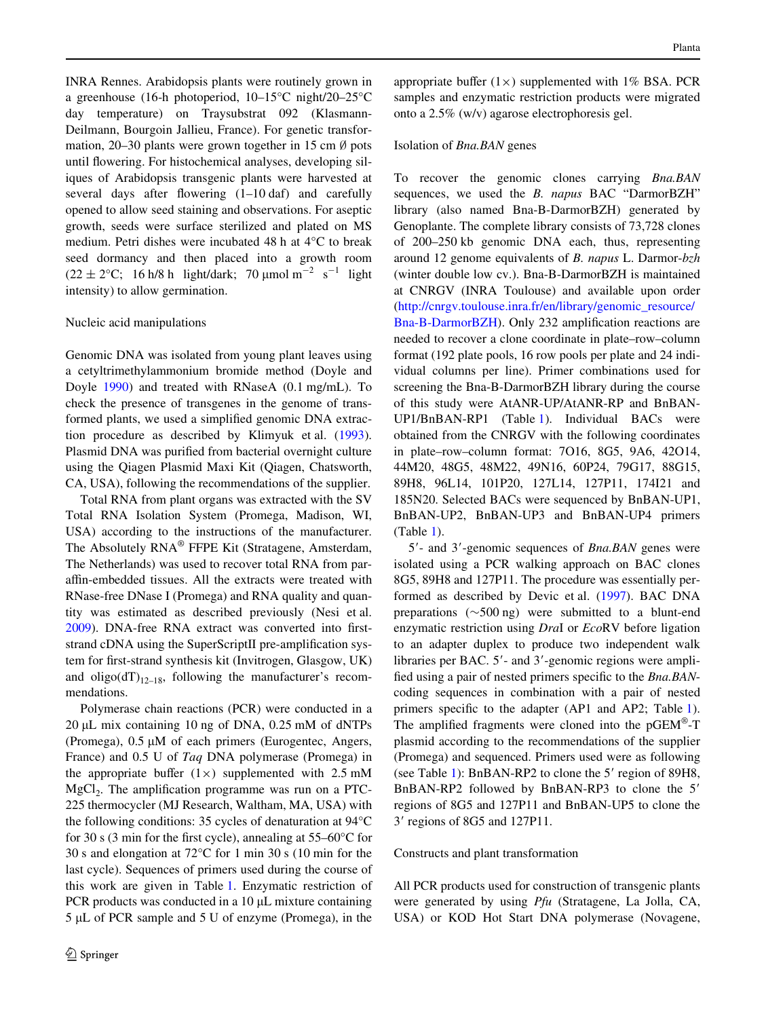INRA Rennes. Arabidopsis plants were routinely grown in a greenhouse (16-h photoperiod, 10–15°C night/20–25°C day temperature) on Traysubstrat 092 (Klasmann-Deilmann, Bourgoin Jallieu, France). For genetic transformation, 20–30 plants were grown together in 15 cm  $\emptyset$  pots until flowering. For histochemical analyses, developing siliques of Arabidopsis transgenic plants were harvested at several days after flowering  $(1-10 \text{ daf})$  and carefully opened to allow seed staining and observations. For aseptic growth, seeds were surface sterilized and plated on MS medium. Petri dishes were incubated 48 h at 4°C to break seed dormancy and then placed into a growth room  $(22 \pm 2^{\circ}\text{C}; 16 \text{ h}/8 \text{ h}$  light/dark; 70 µmol m<sup>-2</sup> s<sup>-1</sup> light intensity) to allow germination.

## Nucleic acid manipulations

Genomic DNA was isolated from young plant leaves using a cetyltrimethylammonium bromide method (Doyle and Doyle [1990](#page-14-4)) and treated with RNaseA (0.1 mg/mL). To check the presence of transgenes in the genome of transformed plants, we used a simplified genomic DNA extraction procedure as described by Klimyuk et al. [\(1993](#page-14-5)). Plasmid DNA was purified from bacterial overnight culture using the Qiagen Plasmid Maxi Kit (Qiagen, Chatsworth, CA, USA), following the recommendations of the supplier.

Total RNA from plant organs was extracted with the SV Total RNA Isolation System (Promega, Madison, WI, USA) according to the instructions of the manufacturer. The Absolutely RNA® FFPE Kit (Stratagene, Amsterdam, The Netherlands) was used to recover total RNA from paraffin-embedded tissues. All the extracts were treated with RNase-free DNase I (Promega) and RNA quality and quantity was estimated as described previously (Nesi et al. [2009](#page-15-2)). DNA-free RNA extract was converted into firststrand cDNA using the SuperScriptII pre-amplification system for first-strand synthesis kit (Invitrogen, Glasgow, UK) and oligo( $dT$ )<sub>12–18</sub>, following the manufacturer's recommendations.

Polymerase chain reactions (PCR) were conducted in a  $20 \mu L$  mix containing 10 ng of DNA, 0.25 mM of dNTPs (Promega),  $0.5 \mu M$  of each primers (Eurogentec, Angers, France) and 0.5 U of *Taq* DNA polymerase (Promega) in the appropriate buffer  $(1\times)$  supplemented with 2.5 mM  $MgCl<sub>2</sub>$ . The amplification programme was run on a PTC-225 thermocycler (MJ Research, Waltham, MA, USA) with the following conditions: 35 cycles of denaturation at 94°C for 30 s (3 min for the first cycle), annealing at  $55-60^{\circ}$ C for 30 s and elongation at 72°C for 1 min 30 s (10 min for the last cycle). Sequences of primers used during the course of this work are given in Table [1](#page-4-0). Enzymatic restriction of PCR products was conducted in a  $10 \mu L$  mixture containing  $5 \mu L$  of PCR sample and  $5 U$  of enzyme (Promega), in the appropriate buffer  $(1\times)$  supplemented with 1% BSA. PCR samples and enzymatic restriction products were migrated onto a 2.5% (w/v) agarose electrophoresis gel.

## Isolation of *Bna.BAN* genes

To recover the genomic clones carrying *Bna.BAN* sequences, we used the *B. napus* BAC "DarmorBZH" library (also named Bna-B-DarmorBZH) generated by Genoplante. The complete library consists of 73,728 clones of 200–250 kb genomic DNA each, thus, representing around 12 genome equivalents of *B. napus* L. Darmor-*bzh* (winter double low cv.). Bna-B-DarmorBZH is maintained at CNRGV (INRA Toulouse) and available upon order [\(http://cnrgv.toulouse.inra.fr/en/library/genomic\\_resource/](http://cnrgv.toulouse.inra.fr/en/library/genomic_resource/Bna-B-DarmorBZH) [Bna-B-DarmorBZH\)](http://cnrgv.toulouse.inra.fr/en/library/genomic_resource/Bna-B-DarmorBZH). Only 232 amplification reactions are needed to recover a clone coordinate in plate–row–column format (192 plate pools, 16 row pools per plate and 24 individual columns per line). Primer combinations used for screening the Bna-B-DarmorBZH library during the course of this study were AtANR-UP/AtANR-RP and BnBAN-UP1/BnBAN-RP1 (Table [1\)](#page-4-0). Individual BACs were obtained from the CNRGV with the following coordinates in plate–row–column format: 7O16, 8G5, 9A6, 42O14, 44M20, 48G5, 48M22, 49N16, 60P24, 79G17, 88G15, 89H8, 96L14, 101P20, 127L14, 127P11, 174I21 and 185N20. Selected BACs were sequenced by BnBAN-UP1, BnBAN-UP2, BnBAN-UP3 and BnBAN-UP4 primers (Table [1\)](#page-4-0).

5'- and 3'-genomic sequences of *Bna.BAN* genes were isolated using a PCR walking approach on BAC clones 8G5, 89H8 and 127P11. The procedure was essentially performed as described by Devic et al. ([1997\)](#page-14-6). BAC DNA preparations ( $\sim$ 500 ng) were submitted to a blunt-end enzymatic restriction using *Dra*I or *Eco*RV before ligation to an adapter duplex to produce two independent walk libraries per BAC.  $5'$ - and  $3'$ -genomic regions were amplified using a pair of nested primers specific to the *Bna.BAN*coding sequences in combination with a pair of nested primers specific to the adapter (AP[1](#page-4-0) and AP2; Table 1). The amplified fragments were cloned into the  $pGEM^{\omega}$ -T plasmid according to the recommendations of the supplier (Promega) and sequenced. Primers used were as following (see Table [1](#page-4-0)): BnBAN-RP2 to clone the  $5'$  region of 89H8, BnBAN-RP2 followed by BnBAN-RP3 to clone the 5 regions of 8G5 and 127P11 and BnBAN-UP5 to clone the 3 regions of 8G5 and 127P11.

#### Constructs and plant transformation

All PCR products used for construction of transgenic plants were generated by using *Pfu* (Stratagene, La Jolla, CA, USA) or KOD Hot Start DNA polymerase (Novagene,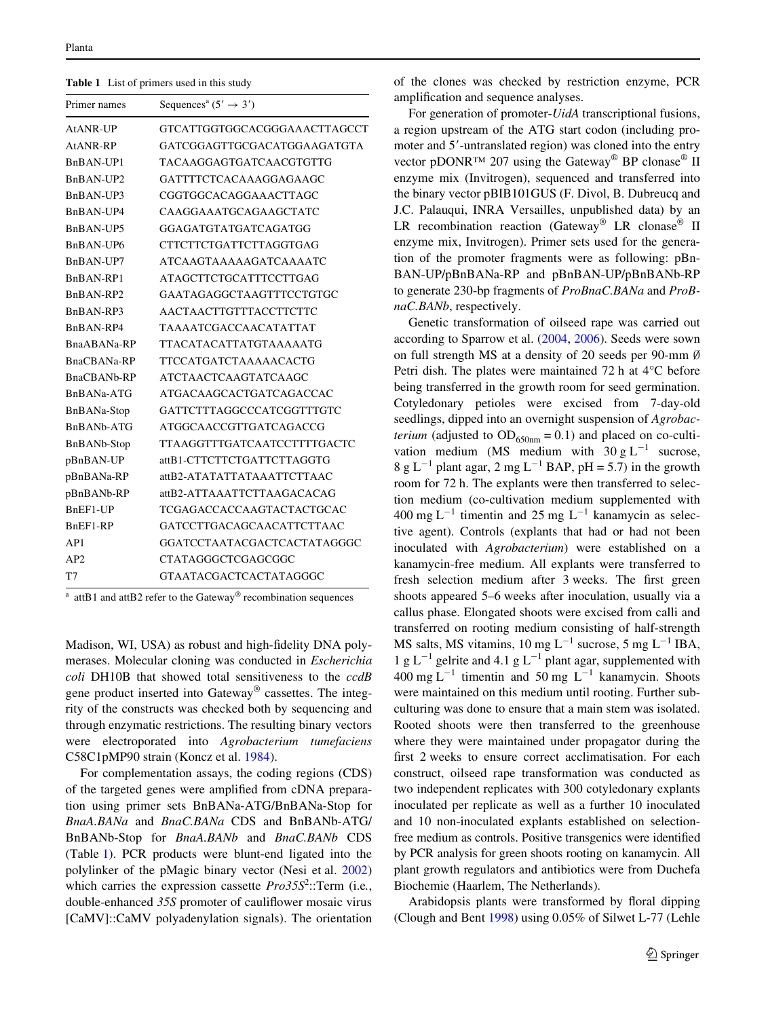<span id="page-4-0"></span>**Table 1** List of primers used in this study

| Primer names                       | Sequences <sup>a</sup> $(5' \rightarrow 3')$ |  |  |
|------------------------------------|----------------------------------------------|--|--|
| AtANR-UP                           | GTCATTGGTGGCACGGGAAACTTAGCCT                 |  |  |
| AtANR-RP                           | GATCGGAGTTGCGACATGGAAGATGTA                  |  |  |
| BnBAN-UP1                          | TACAAGGAGTGATCAACGTGTTG                      |  |  |
| BnBAN-UP2                          | GATTTTCTCACAAAGGAGAAGC                       |  |  |
| BnBAN-UP3                          | CGGTGGCACAGGAAACTTAGC                        |  |  |
| BnBAN-UP4                          | CAAGGAAATGCAGAAGCTATC                        |  |  |
| BnBAN-UP5                          | GGAGATGTATGATCAGATGG                         |  |  |
| BnBAN-UP6                          | CTTCTTCTGATTCTTAGGTGAG                       |  |  |
| BnBAN-UP7                          | <b>ATCAAGTAAAAAGATCAAAATC</b>                |  |  |
| BnBAN-RP1                          | ATAGCTTCTGCATTTCCTTGAG                       |  |  |
| B <sub>n</sub> BAN-RP <sub>2</sub> | GAATAGAGGCTAAGTTTCCTGTGC                     |  |  |
| BnBAN-RP3                          | AACTAACTTGTTTACCTTCTTC                       |  |  |
| BnBAN-RP4                          | <b>TAAAATCGACCAACATATTAT</b>                 |  |  |
| BnaABANa-RP                        | <b>TTACATACATTATGTAAAAATG</b>                |  |  |
| BnaCBANa-RP                        | <b>TTCCATGATCTAAAAACACTG</b>                 |  |  |
| BnaCBANb-RP                        | <b>ATCTAACTCAAGTATCAAGC</b>                  |  |  |
| BnBANa-ATG                         | ATGACAAGCACTGATCAGACCAC                      |  |  |
| BnBANa-Stop                        | GATTCTTTAGGCCCATCGGTTTGTC                    |  |  |
| BnBANb-ATG                         | ATGGCAACCGTTGATCAGACCG                       |  |  |
| <b>BnBANb-Stop</b>                 | <b>TTAAGGTTTGATCAATCCTTTTGACTC</b>           |  |  |
| pBnBAN-UP                          | attB1-CTTCTTCTGATTCTTAGGTG                   |  |  |
| pBnBANa-RP                         | attB2-ATATATTATAAATTCTTAAC                   |  |  |
| pBnBANb-RP                         | attB2-ATTAAATTCTTAAGACACAG                   |  |  |
| BnEF1-UP                           | TCGAGACCACCAAGTACTACTGCAC                    |  |  |
| BnEF1-RP                           | GATCCTTGACAGCAACATTCTTAAC                    |  |  |
| AP1                                | GGATCCTAATACGACTCACTATAGGGC                  |  |  |
| AP2                                | <b>CTATAGGGCTCGAGCGGC</b>                    |  |  |
| T7                                 | GTAATACGACTCACTATAGGGC                       |  |  |

<sup>a</sup> attB1 and attB2 refer to the Gateway<sup>®</sup> recombination sequences

Madison, WI, USA) as robust and high-fidelity DNA polymerases. Molecular cloning was conducted in *Escherichia coli* DH10B that showed total sensitiveness to the *ccdB* gene product inserted into Gateway® cassettes. The integrity of the constructs was checked both by sequencing and through enzymatic restrictions. The resulting binary vectors were electroporated into *Agrobacterium tumefaciens* C58C1pMP90 strain (Koncz et al. [1984\)](#page-14-7).

For complementation assays, the coding regions (CDS) of the targeted genes were amplified from cDNA preparation using primer sets BnBANa-ATG/BnBANa-Stop for *BnaA.BANa* and *BnaC.BANa* CDS and BnBANb-ATG/ BnBANb-Stop for *BnaA.BANb* and *BnaC.BANb* CDS (Table [1\)](#page-4-0). PCR products were blunt-end ligated into the polylinker of the pMagic binary vector (Nesi et al. [2002\)](#page-15-16) which carries the expression cassette *Pro35S*<sup>2</sup> ::Term (i.e*.*, double-enhanced 35S promoter of cauliflower mosaic virus [CaMV]::CaMV polyadenylation signals). The orientation of the clones was checked by restriction enzyme, PCR amplification and sequence analyses.

For generation of promoter-*UidA* transcriptional fusions, a region upstream of the ATG start codon (including promoter and 5'-untranslated region) was cloned into the entry vector pDONR™ 207 using the Gateway<sup>®</sup> BP clonase<sup>®</sup> II enzyme mix (Invitrogen), sequenced and transferred into the binary vector pBIB101GUS (F. Divol, B. Dubreucq and J.C. Palauqui, INRA Versailles, unpublished data) by an LR recombination reaction (Gateway<sup>®</sup> LR clonase<sup>®</sup> II enzyme mix, Invitrogen). Primer sets used for the generation of the promoter fragments were as following: pBn-BAN-UP/pBnBANa-RP and pBnBAN-UP/pBnBANb-RP to generate 230-bp fragments of *ProBnaC.BANa* and *ProBnaC.BANb*, respectively.

Genetic transformation of oilseed rape was carried out according to Sparrow et al. [\(2004,](#page-15-17) [2006](#page-15-18)). Seeds were sown on full strength MS at a density of 20 seeds per 90-mm  $\emptyset$ Petri dish. The plates were maintained 72 h at 4°C before being transferred in the growth room for seed germination. Cotyledonary petioles were excised from 7-day-old seedlings, dipped into an overnight suspension of *Agrobacterium* (adjusted to  $OD_{650nm} = 0.1$ ) and placed on co-cultivation medium (MS medium with  $30 \text{ g L}^{-1}$  sucrose, 8 g L<sup>-1</sup> plant agar, 2 mg L<sup>-1</sup> BAP, pH = 5.7) in the growth room for 72 h. The explants were then transferred to selection medium (co-cultivation medium supplemented with 400 mg  $L^{-1}$  timentin and 25 mg  $L^{-1}$  kanamycin as selective agent). Controls (explants that had or had not been inoculated with *Agrobacterium*) were established on a kanamycin-free medium. All explants were transferred to fresh selection medium after 3 weeks. The first green shoots appeared 5–6 weeks after inoculation, usually via a callus phase. Elongated shoots were excised from calli and transferred on rooting medium consisting of half-strength MS salts, MS vitamins, 10 mg  $L^{-1}$  sucrose, 5 mg  $L^{-1}$  IBA, 1 g L<sup>-1</sup> gelrite and 4.1 g L<sup>-1</sup> plant agar, supplemented with  $400 \text{ mg } L^{-1}$  timentin and  $50 \text{ mg } L^{-1}$  kanamycin. Shoots were maintained on this medium until rooting. Further subculturing was done to ensure that a main stem was isolated. Rooted shoots were then transferred to the greenhouse where they were maintained under propagator during the first 2 weeks to ensure correct acclimatisation. For each construct, oilseed rape transformation was conducted as two independent replicates with 300 cotyledonary explants inoculated per replicate as well as a further 10 inoculated and 10 non-inoculated explants established on selectionfree medium as controls. Positive transgenics were identified by PCR analysis for green shoots rooting on kanamycin. All plant growth regulators and antibiotics were from Duchefa Biochemie (Haarlem, The Netherlands).

Arabidopsis plants were transformed by floral dipping (Clough and Bent [1998](#page-14-8)) using 0.05% of Silwet L-77 (Lehle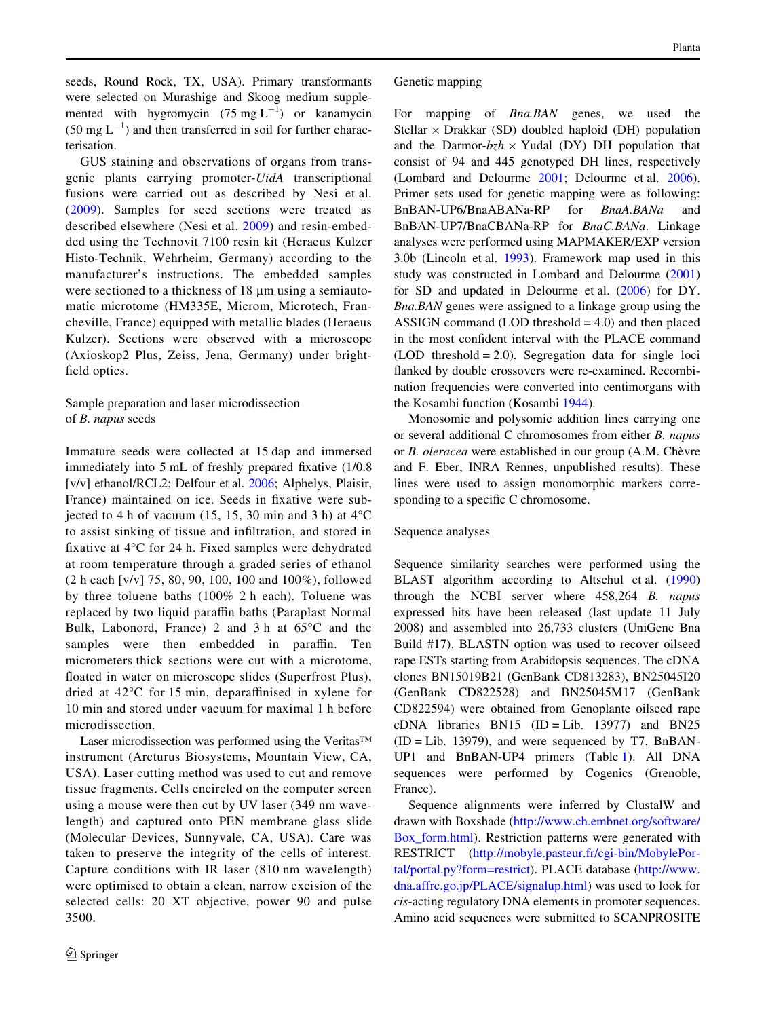seeds, Round Rock, TX, USA). Primary transformants were selected on Murashige and Skoog medium supplemented with hygromycin  $(75 \text{ mg L}^{-1})$  or kanamycin  $(50 \text{ mg } L^{-1})$  and then transferred in soil for further characterisation.

GUS staining and observations of organs from transgenic plants carrying promoter-*UidA* transcriptional fusions were carried out as described by Nesi et al. ([2009](#page-15-2)). Samples for seed sections were treated as described elsewhere (Nesi et al. [2009](#page-15-2)) and resin-embedded using the Technovit 7100 resin kit (Heraeus Kulzer Histo-Technik, Wehrheim, Germany) according to the manufacturer's instructions. The embedded samples were sectioned to a thickness of 18  $\mu$ m using a semiautomatic microtome (HM335E, Microm, Microtech, Francheville, France) equipped with metallic blades (Heraeus Kulzer). Sections were observed with a microscope (Axioskop2 Plus, Zeiss, Jena, Germany) under brightfield optics.

# Sample preparation and laser microdissection of *B. napus* seeds

Immature seeds were collected at 15 dap and immersed immediately into  $5$  mL of freshly prepared fixative  $(1/0.8)$ [v/v] ethanol/RCL2; Delfour et al. [2006](#page-14-9); Alphelys, Plaisir, France) maintained on ice. Seeds in fixative were subjected to 4 h of vacuum  $(15, 15, 30 \text{ min and } 3 \text{ h})$  at  $4^{\circ}$ C to assist sinking of tissue and infiltration, and stored in fixative at  $4^{\circ}$ C for 24 h. Fixed samples were dehydrated at room temperature through a graded series of ethanol (2 h each [v/v] 75, 80, 90, 100, 100 and 100%), followed by three toluene baths (100% 2 h each). Toluene was replaced by two liquid paraffin baths (Paraplast Normal Bulk, Labonord, France) 2 and 3 h at 65°C and the samples were then embedded in paraffin. Ten micrometers thick sections were cut with a microtome, floated in water on microscope slides (Superfrost Plus), dried at  $42^{\circ}$ C for 15 min, deparaffinised in xylene for 10 min and stored under vacuum for maximal 1 h before microdissection.

Laser microdissection was performed using the Veritas™ instrument (Arcturus Biosystems, Mountain View, CA, USA). Laser cutting method was used to cut and remove tissue fragments. Cells encircled on the computer screen using a mouse were then cut by UV laser (349 nm wavelength) and captured onto PEN membrane glass slide (Molecular Devices, Sunnyvale, CA, USA). Care was taken to preserve the integrity of the cells of interest. Capture conditions with IR laser (810 nm wavelength) were optimised to obtain a clean, narrow excision of the selected cells: 20 XT objective, power 90 and pulse 3500.

## Genetic mapping

For mapping of *Bna.BAN* genes, we used the Stellar  $\times$  Drakkar (SD) doubled haploid (DH) population and the Darmor- $bzh \times Y$ udal (DY) DH population that consist of 94 and 445 genotyped DH lines, respectively (Lombard and Delourme [2001](#page-15-19); Delourme et al. [2006](#page-14-10)). Primer sets used for genetic mapping were as following: BnBAN-UP6/BnaABANa-RP for *BnaA.BANa* and BnBAN-UP7/BnaCBANa-RP for *BnaC.BANa*. Linkage analyses were performed using MAPMAKER/EXP version 3.0b (Lincoln et al. [1993](#page-15-20)). Framework map used in this study was constructed in Lombard and Delourme ([2001\)](#page-15-19) for SD and updated in Delourme et al. [\(2006](#page-14-10)) for DY. *Bna.BAN* genes were assigned to a linkage group using the ASSIGN command (LOD threshold = 4.0) and then placed in the most confident interval with the PLACE command  $(LOD$  threshold = 2.0). Segregation data for single loci flanked by double crossovers were re-examined. Recombination frequencies were converted into centimorgans with the Kosambi function (Kosambi [1944](#page-14-11)).

Monosomic and polysomic addition lines carrying one or several additional C chromosomes from either *B. napus* or *B. oleracea* were established in our group (A.M. Chèvre and F. Eber, INRA Rennes, unpublished results). These lines were used to assign monomorphic markers corresponding to a specific C chromosome.

#### Sequence analyses

Sequence similarity searches were performed using the BLAST algorithm according to Altschul et al. ([1990\)](#page-14-12) through the NCBI server where 458,264 *B. napus* expressed hits have been released (last update 11 July 2008) and assembled into 26,733 clusters (UniGene Bna Build #17). BLASTN option was used to recover oilseed rape ESTs starting from Arabidopsis sequences. The cDNA clones BN15019B21 (GenBank CD813283), BN25045I20 (GenBank CD822528) and BN25045M17 (GenBank CD822594) were obtained from Genoplante oilseed rape cDNA libraries BN15 (ID = Lib. 13977) and BN25  $(ID = Lib. 13979)$ , and were sequenced by T7, BnBAN-UP1 and BnBAN-UP4 primers (Table [1](#page-4-0)). All DNA sequences were performed by Cogenics (Grenoble, France).

Sequence alignments were inferred by ClustalW and drawn with Boxshade [\(http://www.ch.embnet.org/software/](http://www.ch.embnet.org/software/Box_form.html) Box form.html). Restriction patterns were generated with RESTRICT ([http://mobyle.pasteur.fr/cgi-bin/MobylePor](http://mobyle.pasteur.fr/cgi-bin/MobylePortal/portal.py?form=restrict)[tal/portal.py?form=restrict\)](http://mobyle.pasteur.fr/cgi-bin/MobylePortal/portal.py?form=restrict). PLACE database [\(http://www.](http://www.dna.affrc.go.jp/PLACE/signalup.html) [dna.affrc.go.jp/PLACE/signalup.html\)](http://www.dna.affrc.go.jp/PLACE/signalup.html) was used to look for *cis*-acting regulatory DNA elements in promoter sequences. Amino acid sequences were submitted to SCANPROSITE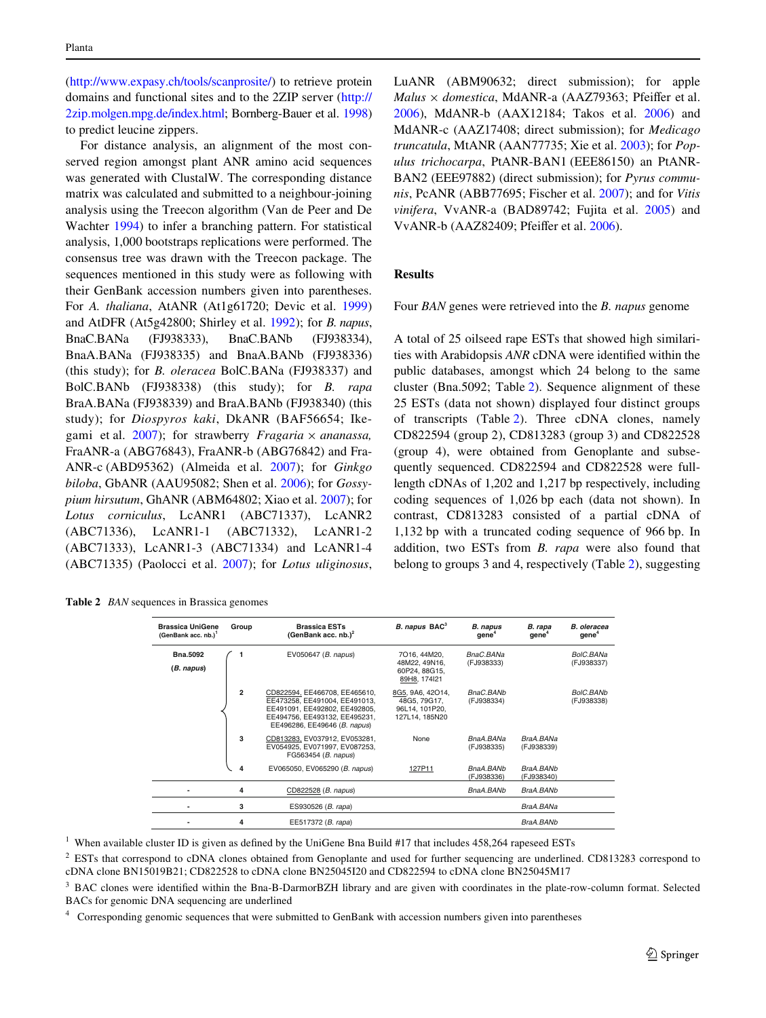[\(http://www.expasy.ch/tools/scanprosite/\)](http://www.expasy.ch/tools/scanprosite/) to retrieve protein domains and functional sites and to the 2ZIP server [\(http://](http://2zip.molgen.mpg.de/index.html) [2zip.molgen.mpg.de/index.html](http://2zip.molgen.mpg.de/index.html); Bornberg-Bauer et al. [1998\)](#page-14-13) to predict leucine zippers.

For distance analysis, an alignment of the most conserved region amongst plant ANR amino acid sequences was generated with ClustalW. The corresponding distance matrix was calculated and submitted to a neighbour-joining analysis using the Treecon algorithm (Van de Peer and De Wachter [1994](#page-15-21)) to infer a branching pattern. For statistical analysis, 1,000 bootstraps replications were performed. The consensus tree was drawn with the Treecon package. The sequences mentioned in this study were as following with their GenBank accession numbers given into parentheses. For *A. thaliana*, AtANR (At1g61720; Devic et al. [1999\)](#page-14-1) and AtDFR (At5g42800; Shirley et al. [1992\)](#page-15-22); for *B. napus*, BnaC.BANa (FJ938333), BnaC.BANb (FJ938334), BnaA.BANa (FJ938335) and BnaA.BANb (FJ938336) (this study); for *B. oleracea* BolC.BANa (FJ938337) and BolC.BANb (FJ938338) (this study); for *B. rapa* BraA.BANa (FJ938339) and BraA.BANb (FJ938340) (this study); for *Diospyros kaki*, DkANR (BAF56654; Ikegami et al.  $2007$ ); for strawberry *Fragaria*  $\times$  *ananassa*, FraANR-a (ABG76843), FraANR-b (ABG76842) and Fra-ANR-c (ABD95362) (Almeida et al. [2007](#page-14-15)); for *Ginkgo biloba*, GbANR (AAU95082; Shen et al. [2006](#page-15-23)); for *Gossypium hirsutum*, GhANR (ABM64802; Xiao et al. [2007](#page-16-4)); for *Lotus corniculus*, LcANR1 (ABC71337), LcANR2 (ABC71336), LcANR1-1 (ABC71332), LcANR1-2 (ABC71333), LcANR1-3 (ABC71334) and LcANR1-4 (ABC71335) (Paolocci et al. [2007\)](#page-15-24); for *Lotus uliginosus*,

<span id="page-6-0"></span>

| <b>Table 2</b> BAN sequences in Brassica genomes |  |
|--------------------------------------------------|--|
|                                                  |  |

LuANR (ABM90632; direct submission); for apple *Malus*  $\times$  *domestica*, MdANR-a (AAZ79363; Pfeiffer et al. [2006](#page-15-25)), MdANR-b (AAX12184; Takos et al. [2006\)](#page-15-26) and MdANR-c (AAZ17408; direct submission); for *Medicago truncatula*, MtANR (AAN77735; Xie et al. [2003](#page-16-1)); for *Populus trichocarpa*, PtANR-BAN1 (EEE86150) an PtANR-BAN2 (EEE97882) (direct submission); for *Pyrus communis*, PcANR (ABB77695; Fischer et al. [2007\)](#page-14-16); and for *Vitis vinifera*, VvANR-a (BAD89742; Fujita et al. [2005](#page-14-17)) and VvANR-b  $(AAZ82409; Pfeiffer et al. 2006).$  $(AAZ82409; Pfeiffer et al. 2006).$  $(AAZ82409; Pfeiffer et al. 2006).$ 

## **Results**

Four *BAN* genes were retrieved into the *B. napus* genome

A total of 25 oilseed rape ESTs that showed high similarities with Arabidopsis *ANR* cDNA were identified within the public databases, amongst which 24 belong to the same cluster (Bna.5092; Table [2\)](#page-6-0). Sequence alignment of these 25 ESTs (data not shown) displayed four distinct groups of transcripts (Table [2](#page-6-0)). Three cDNA clones, namely CD822594 (group 2), CD813283 (group 3) and CD822528 (group 4), were obtained from Genoplante and subsequently sequenced. CD822594 and CD822528 were fulllength cDNAs of 1,202 and 1,217 bp respectively, including coding sequences of 1,026 bp each (data not shown). In contrast, CD813283 consisted of a partial cDNA of 1,132 bp with a truncated coding sequence of 966 bp. In addition, two ESTs from *B. rapa* were also found that belong to groups 3 and 4, respectively (Table [2](#page-6-0)), suggesting

| <b>Brassica UniGene</b><br>(GenBank acc. nb.) <sup>1</sup> | Group          | <b>Brassica ESTs</b><br>(GenBank acc. nb.) $^2$                                                                                                                  | B. napus BAC <sup>3</sup>                                            | <b>B.</b> napus<br>gene <sup>4</sup> | B. rapa<br>qene <sup>4</sup> | B. oleracea<br>gene <sup>4</sup> |
|------------------------------------------------------------|----------------|------------------------------------------------------------------------------------------------------------------------------------------------------------------|----------------------------------------------------------------------|--------------------------------------|------------------------------|----------------------------------|
| <b>Bna.5092</b><br>(B. napus)                              |                | EV050647 (B. napus)                                                                                                                                              | 7016, 44M20.<br>48M22, 49N16,<br>60P24, 88G15,<br>89H8, 174I21       | BnaC.BANa<br>(FJ938333)              |                              | BolC.BANa<br>(FJ938337)          |
|                                                            | $\overline{2}$ | CD822594, EE466708, EE465610,<br>EE473258, EE491004, EE491013,<br>EE491091. EE492802. EE492805.<br>EE494756, EE493132, EE495231,<br>EE496286, EE49646 (B. napus) | 8G5, 9A6, 42O14,<br>48G5, 79G17.<br>96L14, 101P20,<br>127L14, 185N20 | BnaC.BANb<br>(FJ938334)              |                              | <b>BolC.BANb</b><br>(FJ938338)   |
|                                                            | 3              | CD813283, EV037912, EV053281,<br>EV054925, EV071997, EV087253,<br>FG563454 (B. napus)                                                                            | None                                                                 | BnaA.BANa<br>(FJ938335)              | BraA.BANa<br>(FJ938339)      |                                  |
|                                                            | 4              | EV065050, EV065290 (B. napus)                                                                                                                                    | 127P11                                                               | BnaA.BANb<br>(FJ938336)              | BraA, BANb<br>(FJ938340)     |                                  |
|                                                            | 4              | CD822528 (B. napus)                                                                                                                                              |                                                                      | BnaA.BANb                            | BraA.BANb                    |                                  |
|                                                            | 3              | ES930526 (B. rapa)                                                                                                                                               |                                                                      |                                      | BraA.BANa                    |                                  |
|                                                            | 4              | EE517372 (B. rapa)                                                                                                                                               |                                                                      |                                      | BraA, BANb                   |                                  |

<sup>1</sup> When available cluster ID is given as defined by the UniGene Bna Build #17 that includes  $458,264$  rapeseed ESTs

<sup>2</sup> ESTs that correspond to cDNA clones obtained from Genoplante and used for further sequencing are underlined. CD813283 correspond to cDNA clone BN15019B21; CD822528 to cDNA clone BN25045I20 and CD822594 to cDNA clone BN25045M17

<sup>3</sup> BAC clones were identified within the Bna-B-DarmorBZH library and are given with coordinates in the plate-row-column format. Selected BACs for genomic DNA sequencing are underlined

4 Corresponding genomic sequences that were submitted to GenBank with accession numbers given into parentheses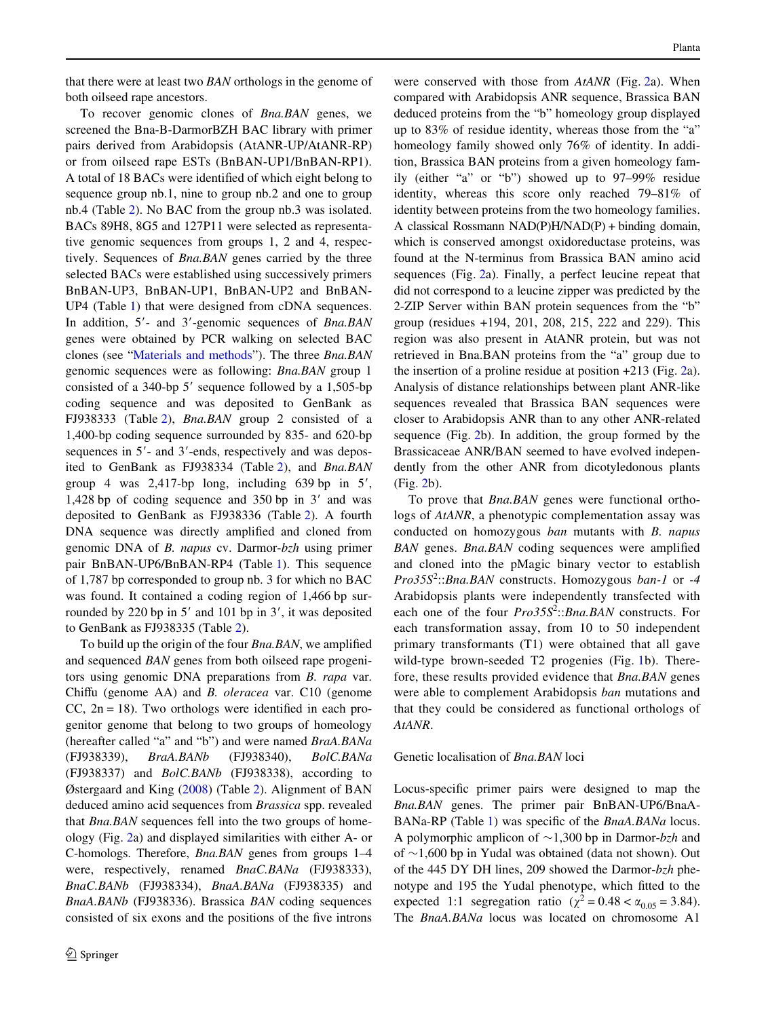that there were at least two *BAN* orthologs in the genome of both oilseed rape ancestors.

To recover genomic clones of *Bna.BAN* genes, we screened the Bna-B-DarmorBZH BAC library with primer pairs derived from Arabidopsis (AtANR-UP/AtANR-RP) or from oilseed rape ESTs (BnBAN-UP1/BnBAN-RP1). A total of 18 BACs were identified of which eight belong to sequence group nb.1, nine to group nb.2 and one to group nb.4 (Table [2](#page-6-0)). No BAC from the group nb.3 was isolated. BACs 89H8, 8G5 and 127P11 were selected as representative genomic sequences from groups 1, 2 and 4, respectively. Sequences of *Bna.BAN* genes carried by the three selected BACs were established using successively primers BnBAN-UP3, BnBAN-UP1, BnBAN-UP2 and BnBAN-UP4 (Table [1\)](#page-4-0) that were designed from cDNA sequences. In addition, 5- and 3-genomic sequences of *Bna.BAN* genes were obtained by PCR walking on selected BAC clones (see "[Materials and methods](#page-2-0)"). The three *Bna.BAN* genomic sequences were as following: *Bna.BAN* group 1 consisted of a 340-bp  $5'$  sequence followed by a 1,505-bp coding sequence and was deposited to GenBank as FJ938333 (Table [2](#page-6-0)), *Bna.BAN* group 2 consisted of a 1,400-bp coding sequence surrounded by 835- and 620-bp sequences in 5'- and 3'-ends, respectively and was deposited to GenBank as FJ938334 (Table [2](#page-6-0)), and *Bna.BAN* group 4 was  $2,417$ -bp long, including 639 bp in 5', 1,428 bp of coding sequence and  $350$  bp in 3' and was deposited to GenBank as FJ938336 (Table [2\)](#page-6-0). A fourth DNA sequence was directly amplified and cloned from genomic DNA of *B. napus* cv. Darmor-*bzh* using primer pair BnBAN-UP6/BnBAN-RP4 (Table [1](#page-4-0)). This sequence of 1,787 bp corresponded to group nb. 3 for which no BAC was found. It contained a coding region of 1,466 bp surrounded by 220 bp in  $5'$  and 101 bp in  $3'$ , it was deposited to GenBank as FJ938335 (Table [2\)](#page-6-0).

To build up the origin of the four *Bna.BAN*, we amplified and sequenced *BAN* genes from both oilseed rape progenitors using genomic DNA preparations from *B. rapa* var. Chiffu (genome AA) and *B. oleracea* var. C10 (genome  $CC$ ,  $2n = 18$ ). Two orthologs were identified in each progenitor genome that belong to two groups of homeology (hereafter called "a" and "b") and were named *BraA.BANa* (FJ938339), *BraA.BANb* (FJ938340), *BolC.BANa* (FJ938337) and *BolC.BANb* (FJ938338), according to Østergaard and King ([2008\)](#page-15-27) (Table [2\)](#page-6-0). Alignment of BAN deduced amino acid sequences from *Brassica* spp. revealed that *Bna.BAN* sequences fell into the two groups of homeology (Fig. [2a](#page-8-0)) and displayed similarities with either A- or C-homologs. Therefore, *Bna.BAN* genes from groups 1–4 were, respectively, renamed *BnaC.BANa* (FJ938333), *BnaC.BANb* (FJ938334), *BnaA.BANa* (FJ938335) and *BnaA.BANb* (FJ938336). Brassica *BAN* coding sequences consisted of six exons and the positions of the five introns were conserved with those from *AtANR* (Fig. [2a](#page-8-0)). When compared with Arabidopsis ANR sequence, Brassica BAN deduced proteins from the "b" homeology group displayed up to 83% of residue identity, whereas those from the "a" homeology family showed only 76% of identity. In addition, Brassica BAN proteins from a given homeology family (either "a" or "b") showed up to 97–99% residue identity, whereas this score only reached 79–81% of identity between proteins from the two homeology families. A classical Rossmann NAD(P)H/NAD(P) + binding domain, which is conserved amongst oxidoreductase proteins, was found at the N-terminus from Brassica BAN amino acid sequences (Fig. [2a](#page-8-0)). Finally, a perfect leucine repeat that did not correspond to a leucine zipper was predicted by the 2-ZIP Server within BAN protein sequences from the "b" group (residues +194, 201, 208, 215, 222 and 229). This region was also present in AtANR protein, but was not retrieved in Bna.BAN proteins from the "a" group due to the insertion of a proline residue at position +213 (Fig. [2a](#page-8-0)). Analysis of distance relationships between plant ANR-like sequences revealed that Brassica BAN sequences were closer to Arabidopsis ANR than to any other ANR-related sequence (Fig. [2b](#page-8-0)). In addition, the group formed by the Brassicaceae ANR/BAN seemed to have evolved independently from the other ANR from dicotyledonous plants (Fig. [2b](#page-8-0)).

To prove that *Bna.BAN* genes were functional orthologs of *AtANR*, a phenotypic complementation assay was conducted on homozygous *ban* mutants with *B. napus BAN* genes. *Bna.BAN* coding sequences were amplified and cloned into the pMagic binary vector to establish *Pro35S*<sup>2</sup> ::*Bna.BAN* constructs. Homozygous *ban-1* or *-4* Arabidopsis plants were independently transfected with each one of the four *Pro35S*<sup>2</sup> ::*Bna.BAN* constructs. For each transformation assay, from 10 to 50 independent primary transformants (T1) were obtained that all gave wild-type brown-seeded T2 progenies (Fig. [1b](#page-1-0)). Therefore, these results provided evidence that *Bna.BAN* genes were able to complement Arabidopsis *ban* mutations and that they could be considered as functional orthologs of *AtANR*.

## Genetic localisation of *Bna.BAN* loci

Locus-specific primer pairs were designed to map the *Bna.BAN* genes. The primer pair BnBAN-UP6/BnaA-BANa-RP (Table [1\)](#page-4-0) was specific of the *BnaA.BANa* locus. A polymorphic amplicon of  $\sim$ 1,300 bp in Darmor-*bzh* and of  $\sim$ 1,600 bp in Yudal was obtained (data not shown). Out of the 445 DY DH lines, 209 showed the Darmor-*bzh* phenotype and 195 the Yudal phenotype, which fitted to the expected 1:1 segregation ratio ( $\chi^2 = 0.48 < \alpha_{0.05} = 3.84$ ). The *BnaA.BANa* locus was located on chromosome A1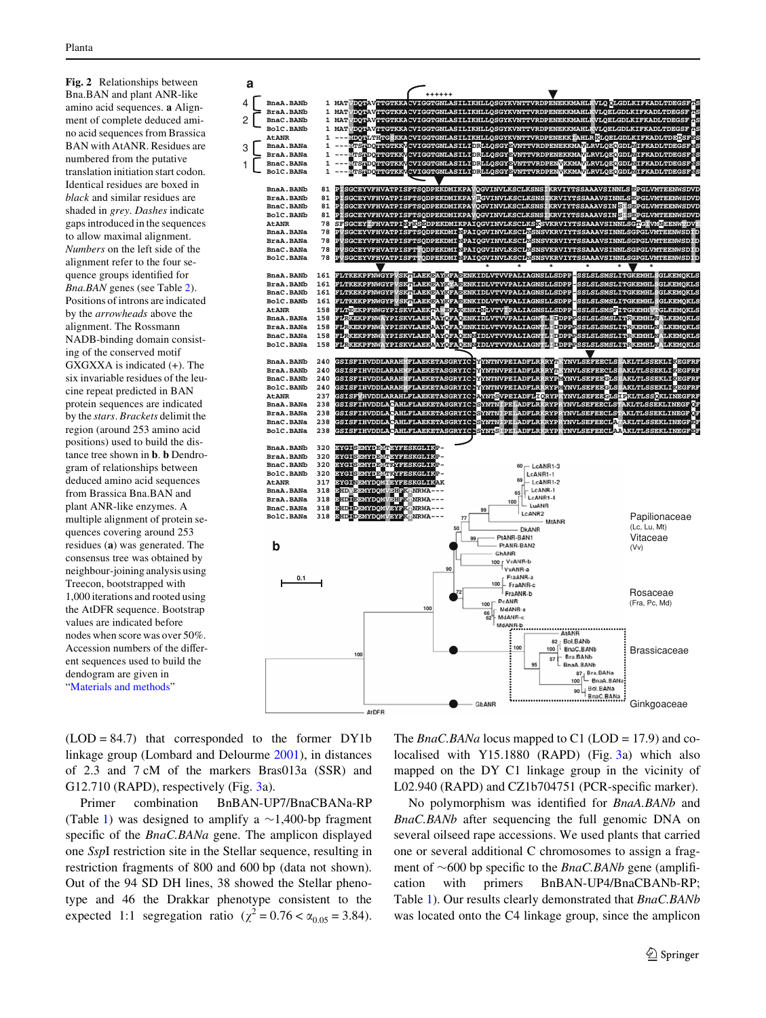<span id="page-8-0"></span>**Fig. 2** Relationships between Bna.BAN and plant ANR-like amino acid sequences. **a** Alignment of complete deduced amino acid sequences from Brassica BAN with AtANR. Residues are numbered from the putative translation initiation start codon. Identical residues are boxed in *black* and similar residues are shaded in *grey*. *Dashes* indicate gaps introduced in the sequences to allow maximal alignment. *Numbers* on the left side of the alignment refer to the four sequence groups identified for *Bna.BAN* genes (see Table [2](#page-6-0)). Positions of introns are indicated by the *arrowheads* above the alignment. The Rossmann NADB-binding domain consisting of the conserved motif GXGXXA is indicated (+). The six invariable residues of the leucine repeat predicted in BAN protein sequences are indicated by the *stars*. *Brackets* delimit the region (around 253 amino acid positions) used to build the distance tree shown in **b**. **b** Dendrogram of relationships between deduced amino acid sequences from Brassica Bna.BAN and plant ANR-like enzymes. A multiple alignment of protein sequences covering around 253 residues (**a**) was generated. The consensus tree was obtained by neighbour-joining analysis using Treecon, bootstrapped with 1,000 iterations and rooted using the AtDFR sequence. Bootstrap values are indicated before nodes when score was over 50%. Accession numbers of the different sequences used to build the dendogram are given in "[Materials and methods](#page-2-0)"



 $(LOD = 84.7)$  that corresponded to the former DY1b linkage group (Lombard and Delourme [2001\)](#page-15-19), in distances of 2.3 and 7 cM of the markers Bras013a (SSR) and G12.710 (RAPD), respectively (Fig. [3a](#page-9-0)).

Primer combination BnBAN-UP7/BnaCBANa-RP (Table [1\)](#page-4-0) was designed to amplify a  $\sim$ 1,400-bp fragment specific of the *BnaC.BANa* gene. The amplicon displayed one *Ssp*I restriction site in the Stellar sequence, resulting in restriction fragments of 800 and 600 bp (data not shown). Out of the 94 SD DH lines, 38 showed the Stellar phenotype and 46 the Drakkar phenotype consistent to the expected 1:1 segregation ratio ( $\chi^2 = 0.76 < \alpha_{0.05} = 3.84$ ).

The *BnaC.BANa* locus mapped to C1 (LOD = 17.9) and colocalised with Y15.1880 (RAPD) (Fig. [3a](#page-9-0)) which also mapped on the DY C1 linkage group in the vicinity of L02.940 (RAPD) and CZ1b704751 (PCR-specific marker).

No polymorphism was identified for *BnaA.BANb* and *BnaC.BANb* after sequencing the full genomic DNA on several oilseed rape accessions. We used plants that carried one or several additional C chromosomes to assign a fragment of  $\sim$ 600 bp specific to the *BnaC.BANb* gene (amplification with primers BnBAN-UP4/BnaCBANb-RP; Table [1](#page-4-0)). Our results clearly demonstrated that *BnaC.BANb* was located onto the C4 linkage group, since the amplicon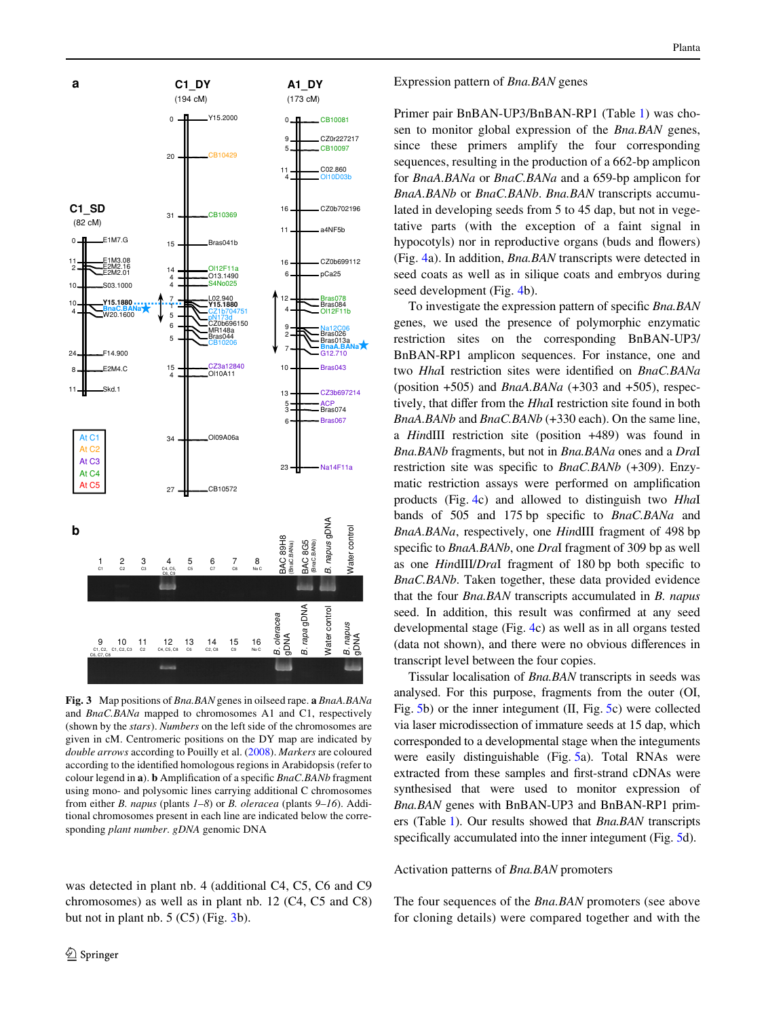

<span id="page-9-0"></span>**Fig. 3** Map positions of *Bna.BAN* genes in oilseed rape. **a** *BnaA.BANa* and *BnaC.BANa* mapped to chromosomes A1 and C1, respectively (shown by the *stars*). *Numbers* on the left side of the chromosomes are given in cM. Centromeric positions on the DY map are indicated by *double arrows* according to Pouilly et al. ([2008\)](#page-15-28). *Markers* are coloured according to the identified homologous regions in Arabidopsis (refer to colour legend in **a**). **b** Amplification of a specific *BnaC.BANb* fragment using mono- and polysomic lines carrying additional C chromosomes from either *B. napus* (plants *1*–*8*) or *B. oleracea* (plants *9*–*16*). Additional chromosomes present in each line are indicated below the corresponding *plant number*. *gDNA* genomic DNA

was detected in plant nb. 4 (additional C4, C5, C6 and C9 chromosomes) as well as in plant nb. 12 (C4, C5 and C8) but not in plant nb.  $5 (C5)$  (Fig.  $3b$  $3b$ ).

Expression pattern of *Bna.BAN* genes

Primer pair BnBAN-UP3/BnBAN-RP1 (Table [1\)](#page-4-0) was chosen to monitor global expression of the *Bna.BAN* genes, since these primers amplify the four corresponding sequences, resulting in the production of a 662-bp amplicon for *BnaA.BANa* or *BnaC.BANa* and a 659-bp amplicon for *BnaA.BANb* or *BnaC.BANb*. *Bna.BAN* transcripts accumulated in developing seeds from 5 to 45 dap, but not in vegetative parts (with the exception of a faint signal in hypocotyls) nor in reproductive organs (buds and flowers) (Fig. [4a](#page-10-0)). In addition, *Bna.BAN* transcripts were detected in seed coats as well as in silique coats and embryos during seed development (Fig. [4](#page-10-0)b).

To investigate the expression pattern of specific *Bna.BAN* genes, we used the presence of polymorphic enzymatic restriction sites on the corresponding BnBAN-UP3/ BnBAN-RP1 amplicon sequences. For instance, one and two *HhaI* restriction sites were identified on *BnaC.BANa* (position +505) and *BnaA.BANa* (+303 and +505), respectively, that differ from the *Hhal* restriction site found in both *BnaA.BANb* and *BnaC.BANb* (+330 each). On the same line, a *Hin*dIII restriction site (position +489) was found in *Bna.BANb* fragments, but not in *Bna.BANa* ones and a *Dra*I restriction site was specific to *BnaC.BANb* (+309). Enzymatic restriction assays were performed on amplification products (Fig. [4c](#page-10-0)) and allowed to distinguish two *Hha*I bands of 505 and 175 bp specific to *BnaC.BANa* and *BnaA.BANa*, respectively, one *Hin*dIII fragment of 498 bp specific to *BnaA.BANb*, one *DraI* fragment of 309 bp as well as one *HindIII/DraI* fragment of 180 bp both specific to *BnaC.BANb*. Taken together, these data provided evidence that the four *Bna.BAN* transcripts accumulated in *B. napus* seed. In addition, this result was confirmed at any seed developmental stage (Fig. [4](#page-10-0)c) as well as in all organs tested (data not shown), and there were no obvious differences in transcript level between the four copies.

Tissular localisation of *Bna.BAN* transcripts in seeds was analysed. For this purpose, fragments from the outer (OI, Fig. [5b](#page-11-0)) or the inner integument (II, Fig. [5c](#page-11-0)) were collected via laser microdissection of immature seeds at 15 dap, which corresponded to a developmental stage when the integuments were easily distinguishable (Fig. [5](#page-11-0)a). Total RNAs were extracted from these samples and first-strand cDNAs were synthesised that were used to monitor expression of *Bna.BAN* genes with BnBAN-UP3 and BnBAN-RP1 primers (Table [1\)](#page-4-0). Our results showed that *Bna.BAN* transcripts specifically accumulated into the inner integument (Fig. [5d](#page-11-0)).

#### Activation patterns of *Bna.BAN* promoters

The four sequences of the *Bna.BAN* promoters (see above for cloning details) were compared together and with the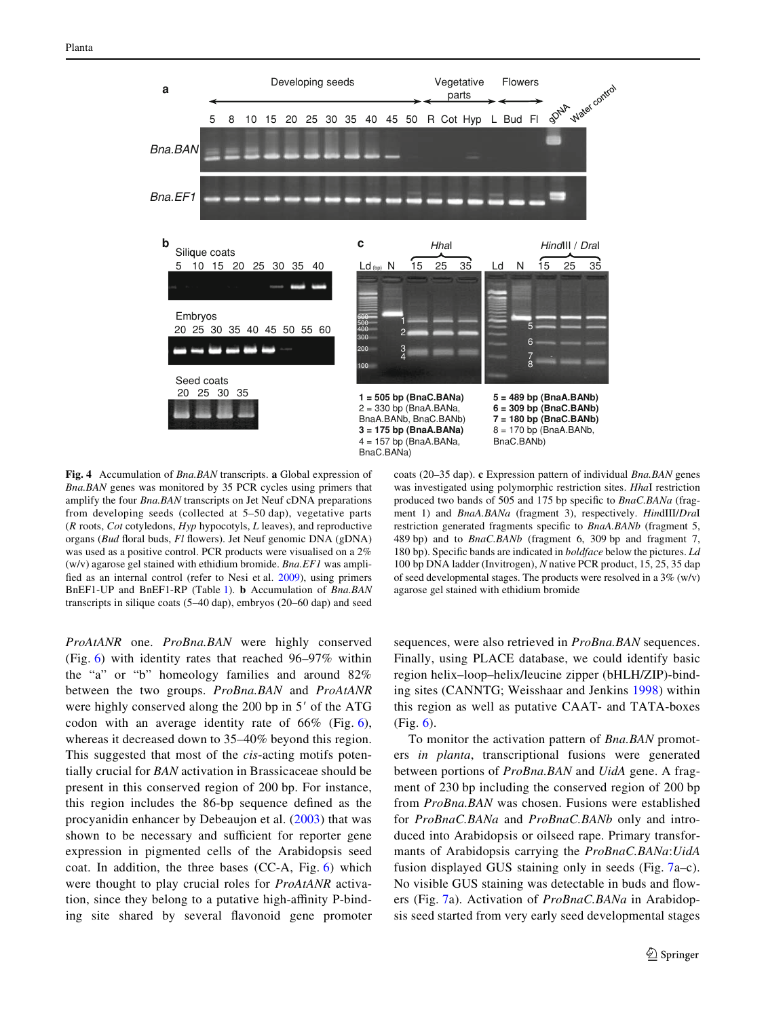

<span id="page-10-0"></span>**Fig. 4** Accumulation of *Bna.BAN* transcripts. **a** Global expression of *Bna.BAN* genes was monitored by 35 PCR cycles using primers that amplify the four *Bna.BAN* transcripts on Jet Neuf cDNA preparations from developing seeds (collected at 5–50 dap), vegetative parts (*R* roots, *Cot* cotyledons, *Hyp* hypocotyls, *L* leaves), and reproductive organs (*Bud* floral buds, *Fl* flowers). Jet Neuf genomic DNA (gDNA) was used as a positive control. PCR products were visualised on a 2% (w/v) agarose gel stained with ethidium bromide. *Bna.EF1* was amplified as an internal control (refer to Nesi et al.  $2009$ ), using primers BnEF1-UP and BnEF1-RP (Table [1\)](#page-4-0). **b** Accumulation of *Bna.BAN* transcripts in silique coats (5–40 dap), embryos (20–60 dap) and seed

*ProAtANR* one. *ProBna.BAN* were highly conserved (Fig. [6](#page-11-1)) with identity rates that reached 96–97% within the "a" or "b" homeology families and around 82% between the two groups. *ProBna.BAN* and *ProAtANR* were highly conserved along the  $200$  bp in  $5'$  of the ATG codon with an average identity rate of 66% (Fig. [6](#page-11-1)), whereas it decreased down to 35–40% beyond this region. This suggested that most of the *cis*-acting motifs potentially crucial for *BAN* activation in Brassicaceae should be present in this conserved region of 200 bp. For instance, this region includes the 86-bp sequence defined as the procyanidin enhancer by Debeaujon et al. ([2003\)](#page-14-18) that was shown to be necessary and sufficient for reporter gene expression in pigmented cells of the Arabidopsis seed coat. In addition, the three bases (CC-A, Fig. [6](#page-11-1)) which were thought to play crucial roles for *ProAtANR* activation, since they belong to a putative high-affinity P-binding site shared by several flavonoid gene promoter

coats (20–35 dap). **c** Expression pattern of individual *Bna.BAN* genes was investigated using polymorphic restriction sites. *Hha*I restriction produced two bands of 505 and 175 bp specific to *BnaC.BANa* (fragment 1) and *BnaA.BANa* (fragment 3), respectively. *Hin*dIII/*Dra*I restriction generated fragments specific to *BnaA.BANb* (fragment 5, 489 bp) and to *BnaC.BANb* (fragment 6, 309 bp and fragment 7, 180 bp). Specific bands are indicated in *boldface* below the pictures. Ld 100 bp DNA ladder (Invitrogen), *N* native PCR product, 15, 25, 35 dap of seed developmental stages. The products were resolved in a  $3\%$  (w/v) agarose gel stained with ethidium bromide

sequences, were also retrieved in *ProBna.BAN* sequences. Finally, using PLACE database, we could identify basic region helix–loop–helix/leucine zipper (bHLH/ZIP)-binding sites (CANNTG; Weisshaar and Jenkins [1998\)](#page-16-5) within this region as well as putative CAAT- and TATA-boxes (Fig. [6](#page-11-1)).

To monitor the activation pattern of *Bna.BAN* promoters *in planta*, transcriptional fusions were generated between portions of *ProBna.BAN* and *UidA* gene. A fragment of 230 bp including the conserved region of 200 bp from *ProBna.BAN* was chosen. Fusions were established for *ProBnaC.BANa* and *ProBnaC.BANb* only and introduced into Arabidopsis or oilseed rape. Primary transformants of Arabidopsis carrying the *ProBnaC.BANa*:*UidA* fusion displayed GUS staining only in seeds (Fig. [7](#page-12-0)a–c). No visible GUS staining was detectable in buds and flowers (Fig. [7a](#page-12-0)). Activation of *ProBnaC.BANa* in Arabidopsis seed started from very early seed developmental stages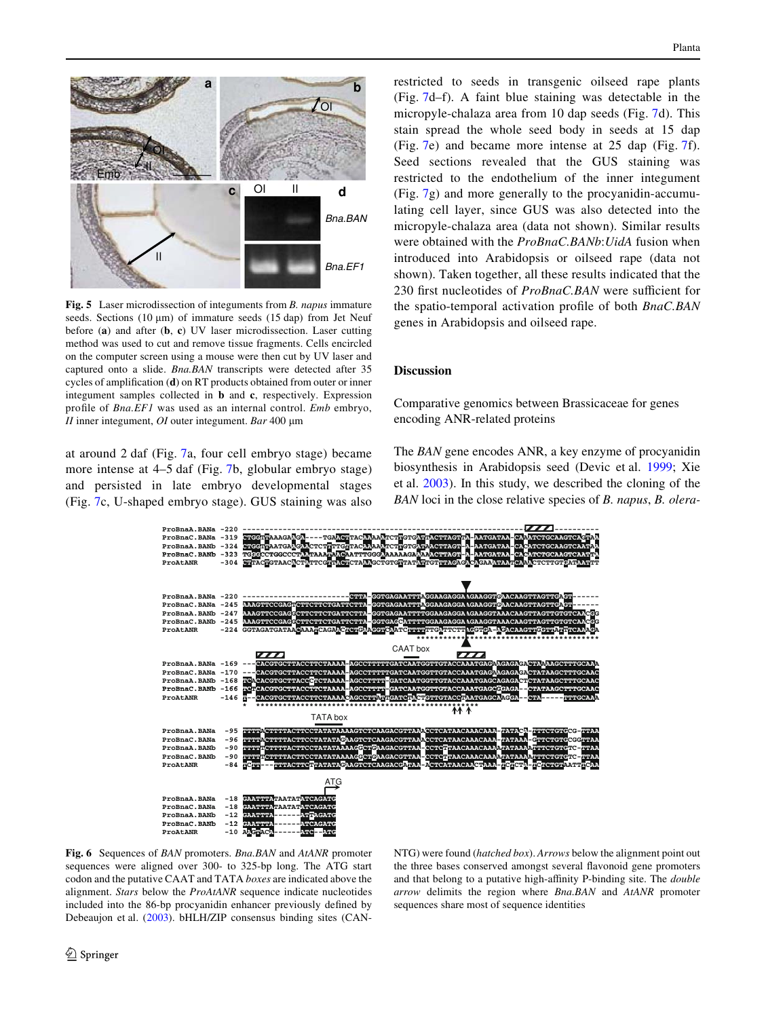

<span id="page-11-0"></span>**Fig. 5** Laser microdissection of integuments from *B. napus* immature seeds. Sections (10  $\mu$ m) of immature seeds (15 dap) from Jet Neuf before (**a**) and after (**b**, **c**) UV laser microdissection. Laser cutting method was used to cut and remove tissue fragments. Cells encircled on the computer screen using a mouse were then cut by UV laser and captured onto a slide. *Bna.BAN* transcripts were detected after 35 cycles of amplification (**d**) on RT products obtained from outer or inner integument samples collected in **b** and **c**, respectively. Expression profile of *Bna.EF1* was used as an internal control. *Emb* embryo, *II* inner integument, *OI* outer integument. *Bar* 400 µm

at around 2 daf (Fig. [7a](#page-12-0), four cell embryo stage) became more intense at 4–5 daf (Fig. [7b](#page-12-0), globular embryo stage) and persisted in late embryo developmental stages (Fig. [7](#page-12-0)c, U-shaped embryo stage). GUS staining was also

restricted to seeds in transgenic oilseed rape plants (Fig. [7](#page-12-0)d–f). A faint blue staining was detectable in the micropyle-chalaza area from 10 dap seeds (Fig. [7d](#page-12-0)). This stain spread the whole seed body in seeds at 15 dap (Fig. [7](#page-12-0)e) and became more intense at 25 dap (Fig. [7f](#page-12-0)). Seed sections revealed that the GUS staining was restricted to the endothelium of the inner integument (Fig. [7](#page-12-0)g) and more generally to the procyanidin-accumulating cell layer, since GUS was also detected into the micropyle-chalaza area (data not shown). Similar results were obtained with the *ProBnaC.BANb*:*UidA* fusion when introduced into Arabidopsis or oilseed rape (data not shown). Taken together, all these results indicated that the 230 first nucleotides of *ProBnaC.BAN* were sufficient for the spatio-temporal activation profile of both *BnaC.BAN* genes in Arabidopsis and oilseed rape.

#### **Discussion**

Comparative genomics between Brassicaceae for genes encoding ANR-related proteins

The *BAN* gene encodes ANR, a key enzyme of procyanidin biosynthesis in Arabidopsis seed (Devic et al. [1999;](#page-14-1) Xie et al. [2003\)](#page-16-1). In this study, we described the cloning of the *BAN* loci in the close relative species of *B. napus*, *B. olera-*



<span id="page-11-1"></span>**Fig. 6** Sequences of *BAN* promoters. *Bna.BAN* and *AtANR* promoter sequences were aligned over 300- to 325-bp long. The ATG start codon and the putative CAAT and TATA *boxes* are indicated above the alignment. *Stars* below the *ProAtANR* sequence indicate nucleotides included into the 86-bp procyanidin enhancer previously defined by Debeaujon et al. ([2003](#page-14-18)). bHLH/ZIP consensus binding sites (CAN-

NTG) were found (*hatched box*). *Arrows* below the alignment point out the three bases conserved amongst several flavonoid gene promoters and that belong to a putative high-affinity P-binding site. The *double arrow* delimits the region where *Bna.BAN* and *AtANR* promoter sequences share most of sequence identities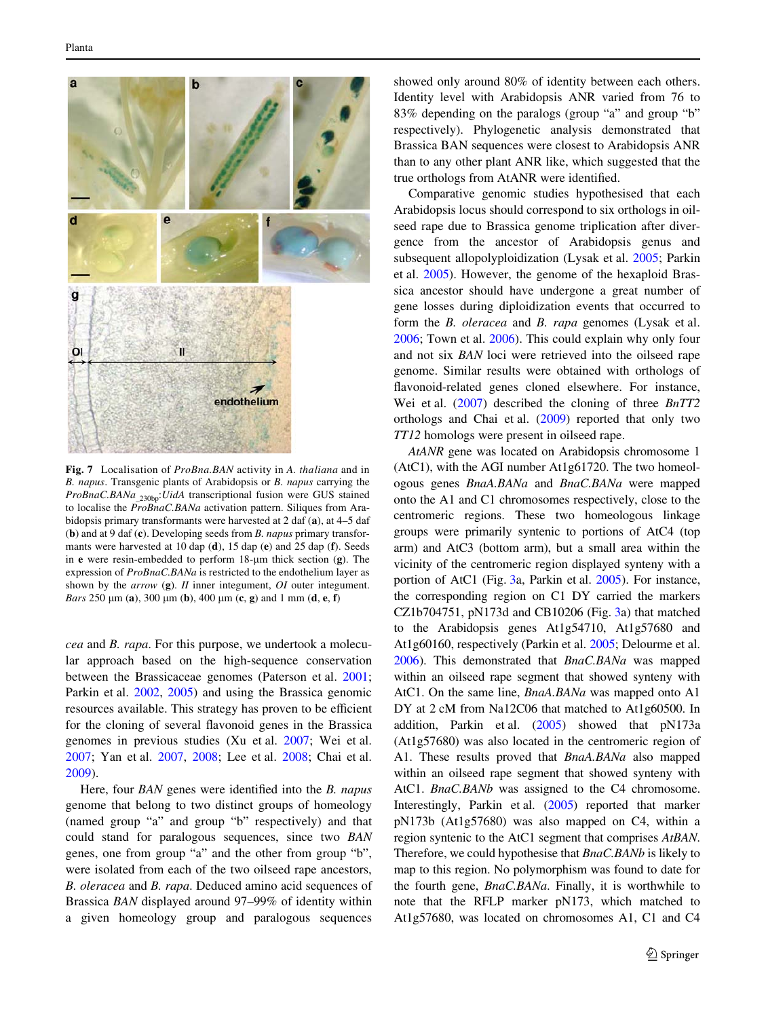

<span id="page-12-0"></span>**Fig. 7** Localisation of *ProBna.BAN* activity in *A. thaliana* and in *B. napus*. Transgenic plants of Arabidopsis or *B. napus* carrying the *ProBnaC.BANa\_*230bp:*UidA* transcriptional fusion were GUS stained to localise the *ProBnaC.BANa* activation pattern. Siliques from Arabidopsis primary transformants were harvested at 2 daf (**a**), at 4–5 daf (**b**) and at 9 daf (**c**). Developing seeds from *B. napus* primary transformants were harvested at 10 dap (**d**), 15 dap (**e**) and 25 dap (**f**). Seeds in **e** were resin-embedded to perform  $18-\mu m$  thick section (**g**). The expression of *ProBnaC.BANa* is restricted to the endothelium layer as shown by the *arrow* (**g**). *II* inner integument, *OI* outer integument. *Bars* 250 m (**a**), 300 m (**b**), 400 m (**c**, **g**) and 1 mm (**d**, **e**, **f**)

*cea* and *B. rapa*. For this purpose, we undertook a molecular approach based on the high-sequence conservation between the Brassicaceae genomes (Paterson et al. [2001](#page-15-29); Parkin et al. [2002](#page-15-30), [2005](#page-15-31)) and using the Brassica genomic resources available. This strategy has proven to be efficient for the cloning of several flavonoid genes in the Brassica genomes in previous studies (Xu et al. [2007;](#page-16-3) Wei et al. [2007](#page-16-2); Yan et al. [2007,](#page-16-6) [2008](#page-16-7); Lee et al. [2008;](#page-15-32) Chai et al. [2009](#page-14-3)).

Here, four *BAN* genes were identified into the *B. napus* genome that belong to two distinct groups of homeology (named group "a" and group "b" respectively) and that could stand for paralogous sequences, since two *BAN* genes, one from group "a" and the other from group "b", were isolated from each of the two oilseed rape ancestors, *B. oleracea* and *B. rapa*. Deduced amino acid sequences of Brassica *BAN* displayed around 97–99% of identity within a given homeology group and paralogous sequences showed only around 80% of identity between each others. Identity level with Arabidopsis ANR varied from 76 to 83% depending on the paralogs (group "a" and group "b" respectively). Phylogenetic analysis demonstrated that Brassica BAN sequences were closest to Arabidopsis ANR than to any other plant ANR like, which suggested that the true orthologs from AtANR were identified.

Comparative genomic studies hypothesised that each Arabidopsis locus should correspond to six orthologs in oilseed rape due to Brassica genome triplication after divergence from the ancestor of Arabidopsis genus and subsequent allopolyploidization (Lysak et al. [2005](#page-15-33); Parkin et al. [2005](#page-15-31)). However, the genome of the hexaploid Brassica ancestor should have undergone a great number of gene losses during diploidization events that occurred to form the *B. oleracea* and *B. rapa* genomes (Lysak et al. [2006](#page-15-34); Town et al. [2006](#page-15-35)). This could explain why only four and not six *BAN* loci were retrieved into the oilseed rape genome. Similar results were obtained with orthologs of flavonoid-related genes cloned elsewhere. For instance, Wei et al. [\(2007](#page-16-2)) described the cloning of three *BnTT2* orthologs and Chai et al. ([2009\)](#page-14-3) reported that only two *TT12* homologs were present in oilseed rape.

*AtANR* gene was located on Arabidopsis chromosome 1 (AtC1), with the AGI number At1g61720. The two homeologous genes *BnaA.BANa* and *BnaC.BANa* were mapped onto the A1 and C1 chromosomes respectively, close to the centromeric regions. These two homeologous linkage groups were primarily syntenic to portions of AtC4 (top arm) and AtC3 (bottom arm), but a small area within the vicinity of the centromeric region displayed synteny with a portion of AtC1 (Fig. [3](#page-9-0)a, Parkin et al. [2005](#page-15-31)). For instance, the corresponding region on C1 DY carried the markers CZ1b704751, pN173d and CB10206 (Fig. [3a](#page-9-0)) that matched to the Arabidopsis genes At1g54710, At1g57680 and At1g60160, respectively (Parkin et al. [2005](#page-15-31); Delourme et al. [2006\)](#page-14-10). This demonstrated that *BnaC.BANa* was mapped within an oilseed rape segment that showed synteny with AtC1. On the same line, *BnaA.BANa* was mapped onto A1 DY at 2 cM from Na12C06 that matched to At1g60500. In addition, Parkin et al. ([2005\)](#page-15-31) showed that pN173a (At1g57680) was also located in the centromeric region of A1. These results proved that *BnaA.BANa* also mapped within an oilseed rape segment that showed synteny with AtC1. *BnaC.BANb* was assigned to the C4 chromosome. Interestingly, Parkin et al. ([2005\)](#page-15-31) reported that marker pN173b (At1g57680) was also mapped on C4, within a region syntenic to the AtC1 segment that comprises *AtBAN*. Therefore, we could hypothesise that *BnaC.BANb* is likely to map to this region. No polymorphism was found to date for the fourth gene, *BnaC.BANa*. Finally, it is worthwhile to note that the RFLP marker pN173, which matched to At1g57680, was located on chromosomes A1, C1 and C4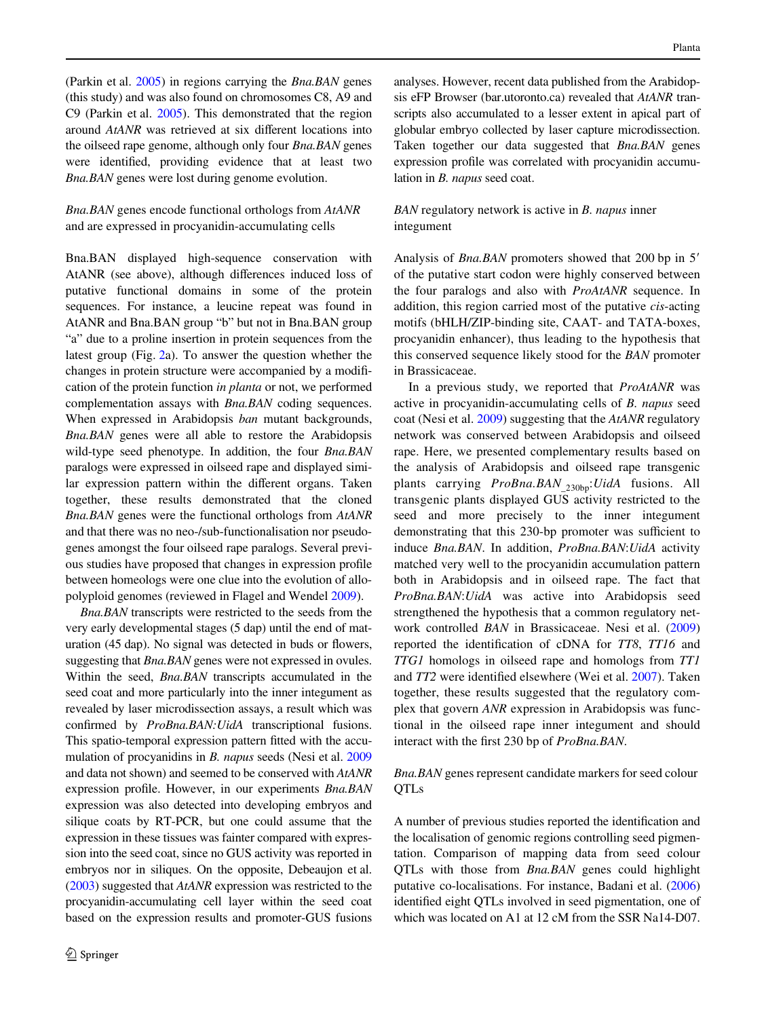(Parkin et al. [2005](#page-15-31)) in regions carrying the *Bna.BAN* genes (this study) and was also found on chromosomes C8, A9 and C9 (Parkin et al. [2005\)](#page-15-31). This demonstrated that the region around *AtANR* was retrieved at six different locations into the oilseed rape genome, although only four *Bna.BAN* genes were identified, providing evidence that at least two *Bna.BAN* genes were lost during genome evolution.

*Bna.BAN* genes encode functional orthologs from *AtANR* and are expressed in procyanidin-accumulating cells

Bna.BAN displayed high-sequence conservation with AtANR (see above), although differences induced loss of putative functional domains in some of the protein sequences. For instance, a leucine repeat was found in AtANR and Bna.BAN group "b" but not in Bna.BAN group "a" due to a proline insertion in protein sequences from the latest group (Fig. [2a](#page-8-0)). To answer the question whether the changes in protein structure were accompanied by a modification of the protein function *in planta* or not, we performed complementation assays with *Bna.BAN* coding sequences. When expressed in Arabidopsis *ban* mutant backgrounds, *Bna.BAN* genes were all able to restore the Arabidopsis wild-type seed phenotype. In addition, the four *Bna.BAN* paralogs were expressed in oilseed rape and displayed similar expression pattern within the different organs. Taken together, these results demonstrated that the cloned *Bna.BAN* genes were the functional orthologs from *AtANR* and that there was no neo-/sub-functionalisation nor pseudogenes amongst the four oilseed rape paralogs. Several previous studies have proposed that changes in expression profile between homeologs were one clue into the evolution of allopolyploid genomes (reviewed in Flagel and Wendel [2009](#page-14-19)).

*Bna.BAN* transcripts were restricted to the seeds from the very early developmental stages (5 dap) until the end of maturation (45 dap). No signal was detected in buds or flowers, suggesting that *Bna.BAN* genes were not expressed in ovules. Within the seed, *Bna.BAN* transcripts accumulated in the seed coat and more particularly into the inner integument as revealed by laser microdissection assays, a result which was confirmed by *ProBna.BAN: UidA* transcriptional fusions. This spatio-temporal expression pattern fitted with the accumulation of procyanidins in *B. napus* seeds (Nesi et al. [2009](#page-15-2) and data not shown) and seemed to be conserved with *AtANR* expression profile. However, in our experiments *Bna.BAN* expression was also detected into developing embryos and silique coats by RT-PCR, but one could assume that the expression in these tissues was fainter compared with expression into the seed coat, since no GUS activity was reported in embryos nor in siliques. On the opposite, Debeaujon et al. [\(2003\)](#page-14-18) suggested that *AtANR* expression was restricted to the procyanidin-accumulating cell layer within the seed coat based on the expression results and promoter-GUS fusions analyses. However, recent data published from the Arabidopsis eFP Browser (bar.utoronto.ca) revealed that *AtANR* transcripts also accumulated to a lesser extent in apical part of globular embryo collected by laser capture microdissection. Taken together our data suggested that *Bna.BAN* genes expression profile was correlated with procyanidin accumulation in *B. napus* seed coat.

# *BAN* regulatory network is active in *B. napus* inner integument

Analysis of *Bna.BAN* promoters showed that 200 bp in 5 of the putative start codon were highly conserved between the four paralogs and also with *ProAtANR* sequence. In addition, this region carried most of the putative *cis*-acting motifs (bHLH/ZIP-binding site, CAAT- and TATA-boxes, procyanidin enhancer), thus leading to the hypothesis that this conserved sequence likely stood for the *BAN* promoter in Brassicaceae.

In a previous study, we reported that *ProAtANR* was active in procyanidin-accumulating cells of *B. napus* seed coat (Nesi et al. [2009\)](#page-15-2) suggesting that the *AtANR* regulatory network was conserved between Arabidopsis and oilseed rape. Here, we presented complementary results based on the analysis of Arabidopsis and oilseed rape transgenic plants carrying *ProBna.BAN\_*230bp:*UidA* fusions. All transgenic plants displayed GUS activity restricted to the seed and more precisely to the inner integument demonstrating that this 230-bp promoter was sufficient to induce *Bna.BAN*. In addition, *ProBna.BAN*:*UidA* activity matched very well to the procyanidin accumulation pattern both in Arabidopsis and in oilseed rape. The fact that *ProBna.BAN*:*UidA* was active into Arabidopsis seed strengthened the hypothesis that a common regulatory network controlled *BAN* in Brassicaceae. Nesi et al. ([2009\)](#page-15-2) reported the identification of cDNA for *TT8*, *TT16* and *TTG1* homologs in oilseed rape and homologs from *TT1* and *TT2* were identified elsewhere (Wei et al. [2007\)](#page-16-2). Taken together, these results suggested that the regulatory complex that govern *ANR* expression in Arabidopsis was functional in the oilseed rape inner integument and should interact with the first 230 bp of  $ProBna.BAN$ .

## *Bna.BAN* genes represent candidate markers for seed colour QTLs

A number of previous studies reported the identification and the localisation of genomic regions controlling seed pigmentation. Comparison of mapping data from seed colour QTLs with those from *Bna.BAN* genes could highlight putative co-localisations. For instance, Badani et al. [\(2006\)](#page-14-20) identified eight OTLs involved in seed pigmentation, one of which was located on A1 at 12 cM from the SSR Na14-D07.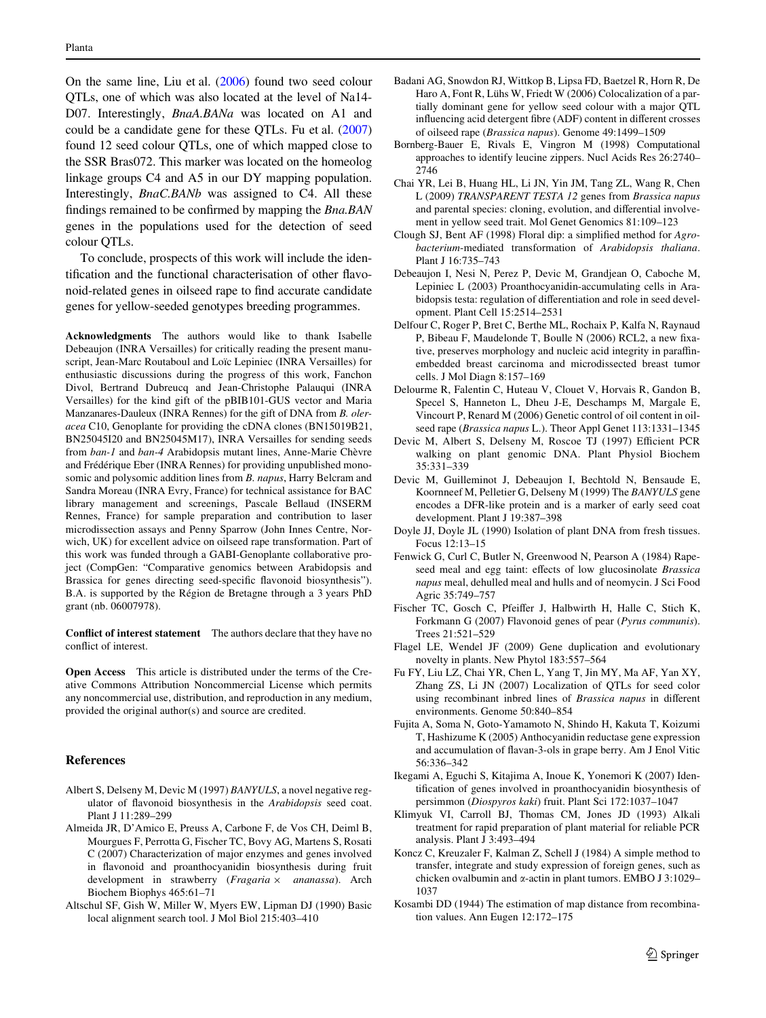On the same line, Liu et al. ([2006\)](#page-15-36) found two seed colour QTLs, one of which was also located at the level of Na14- D07. Interestingly, *BnaA.BANa* was located on A1 and could be a candidate gene for these QTLs. Fu et al. [\(2007\)](#page-14-21) found 12 seed colour QTLs, one of which mapped close to the SSR Bras072. This marker was located on the homeolog linkage groups C4 and A5 in our DY mapping population. Interestingly, *BnaC.BANb* was assigned to C4. All these findings remained to be confirmed by mapping the *Bna.BAN* genes in the populations used for the detection of seed colour QTLs.

To conclude, prospects of this work will include the identification and the functional characterisation of other flavonoid-related genes in oilseed rape to find accurate candidate genes for yellow-seeded genotypes breeding programmes.

**Acknowledgments** The authors would like to thank Isabelle Debeaujon (INRA Versailles) for critically reading the present manuscript, Jean-Marc Routaboul and Loïc Lepiniec (INRA Versailles) for enthusiastic discussions during the progress of this work, Fanchon Divol, Bertrand Dubreucq and Jean-Christophe Palauqui (INRA Versailles) for the kind gift of the pBIB101-GUS vector and Maria Manzanares-Dauleux (INRA Rennes) for the gift of DNA from *B. oleracea* C10, Genoplante for providing the cDNA clones (BN15019B21, BN25045I20 and BN25045M17), INRA Versailles for sending seeds from *ban-1* and *ban-4* Arabidopsis mutant lines, Anne-Marie Chèvre and Frédérique Eber (INRA Rennes) for providing unpublished monosomic and polysomic addition lines from *B. napus*, Harry Belcram and Sandra Moreau (INRA Evry, France) for technical assistance for BAC library management and screenings, Pascale Bellaud (INSERM Rennes, France) for sample preparation and contribution to laser microdissection assays and Penny Sparrow (John Innes Centre, Norwich, UK) for excellent advice on oilseed rape transformation. Part of this work was funded through a GABI-Genoplante collaborative project (CompGen: "Comparative genomics between Arabidopsis and Brassica for genes directing seed-specific flavonoid biosynthesis"). B.A. is supported by the Région de Bretagne through a 3 years PhD grant (nb. 06007978).

**Conflict of interest statement** The authors declare that they have no conflict of interest.

**Open Access** This article is distributed under the terms of the Creative Commons Attribution Noncommercial License which permits any noncommercial use, distribution, and reproduction in any medium, provided the original author(s) and source are credited.

## **References**

- <span id="page-14-2"></span>Albert S, Delseny M, Devic M (1997) *BANYULS*, a novel negative regulator of flavonoid biosynthesis in the *Arabidopsis* seed coat. Plant J 11:289–299
- <span id="page-14-15"></span>Almeida JR, D'Amico E, Preuss A, Carbone F, de Vos CH, Deiml B, Mourgues F, Perrotta G, Fischer TC, Bovy AG, Martens S, Rosati C (2007) Characterization of major enzymes and genes involved in flavonoid and proanthocyanidin biosynthesis during fruit development in strawberry (*Fragaria* £ *ananassa*). Arch Biochem Biophys 465:61–71
- <span id="page-14-12"></span>Altschul SF, Gish W, Miller W, Myers EW, Lipman DJ (1990) Basic local alignment search tool. J Mol Biol 215:403–410
- <span id="page-14-20"></span>Badani AG, Snowdon RJ, Wittkop B, Lipsa FD, Baetzel R, Horn R, De Haro A, Font R, Lühs W, Friedt W (2006) Colocalization of a partially dominant gene for yellow seed colour with a major QTL influencing acid detergent fibre (ADF) content in different crosses of oilseed rape (*Brassica napus*). Genome 49:1499–1509
- <span id="page-14-13"></span>Bornberg-Bauer E, Rivals E, Vingron M (1998) Computational approaches to identify leucine zippers. Nucl Acids Res 26:2740– 2746
- <span id="page-14-3"></span>Chai YR, Lei B, Huang HL, Li JN, Yin JM, Tang ZL, Wang R, Chen L (2009) *TRANSPARENT TESTA 12* genes from *Brassica napus* and parental species: cloning, evolution, and differential involvement in yellow seed trait. Mol Genet Genomics 81:109–123
- <span id="page-14-8"></span>Clough SJ, Bent AF (1998) Floral dip: a simplified method for *Agrobacterium*-mediated transformation of *Arabidopsis thaliana*. Plant J 16:735–743
- <span id="page-14-18"></span>Debeaujon I, Nesi N, Perez P, Devic M, Grandjean O, Caboche M, Lepiniec L (2003) Proanthocyanidin-accumulating cells in Arabidopsis testa: regulation of differentiation and role in seed development. Plant Cell 15:2514–2531
- <span id="page-14-9"></span>Delfour C, Roger P, Bret C, Berthe ML, Rochaix P, Kalfa N, Raynaud P, Bibeau F, Maudelonde T, Boulle N (2006) RCL2, a new fixative, preserves morphology and nucleic acid integrity in paraffinembedded breast carcinoma and microdissected breast tumor cells. J Mol Diagn 8:157–169
- <span id="page-14-10"></span>Delourme R, Falentin C, Huteau V, Clouet V, Horvais R, Gandon B, Specel S, Hanneton L, Dheu J-E, Deschamps M, Margale E, Vincourt P, Renard M (2006) Genetic control of oil content in oilseed rape (*Brassica napus* L.). Theor Appl Genet 113:1331–1345
- <span id="page-14-6"></span>Devic M, Albert S, Delseny M, Roscoe TJ (1997) Efficient PCR walking on plant genomic DNA. Plant Physiol Biochem 35:331–339
- <span id="page-14-1"></span>Devic M, Guilleminot J, Debeaujon I, Bechtold N, Bensaude E, Koornneef M, Pelletier G, Delseny M (1999) The *BANYULS* gene encodes a DFR-like protein and is a marker of early seed coat development. Plant J 19:387–398
- <span id="page-14-4"></span>Doyle JJ, Doyle JL (1990) Isolation of plant DNA from fresh tissues. Focus 12:13–15
- <span id="page-14-0"></span>Fenwick G, Curl C, Butler N, Greenwood N, Pearson A (1984) Rapeseed meal and egg taint: effects of low glucosinolate *Brassica napus* meal, dehulled meal and hulls and of neomycin. J Sci Food Agric 35:749–757
- <span id="page-14-16"></span>Fischer TC, Gosch C, Pfeiffer J, Halbwirth H, Halle C, Stich K, Forkmann G (2007) Flavonoid genes of pear (*Pyrus communis*). Trees 21:521–529
- <span id="page-14-19"></span>Flagel LE, Wendel JF (2009) Gene duplication and evolutionary novelty in plants. New Phytol 183:557–564
- <span id="page-14-21"></span>Fu FY, Liu LZ, Chai YR, Chen L, Yang T, Jin MY, Ma AF, Yan XY, Zhang ZS, Li JN (2007) Localization of QTLs for seed color using recombinant inbred lines of *Brassica napus* in different environments. Genome 50:840–854
- <span id="page-14-17"></span>Fujita A, Soma N, Goto-Yamamoto N, Shindo H, Kakuta T, Koizumi T, Hashizume K (2005) Anthocyanidin reductase gene expression and accumulation of flavan-3-ols in grape berry. Am J Enol Vitic 56:336–342
- <span id="page-14-14"></span>Ikegami A, Eguchi S, Kitajima A, Inoue K, Yonemori K (2007) Identification of genes involved in proanthocyanidin biosynthesis of persimmon (*Diospyros kaki*) fruit. Plant Sci 172:1037–1047
- <span id="page-14-5"></span>Klimyuk VI, Carroll BJ, Thomas CM, Jones JD (1993) Alkali treatment for rapid preparation of plant material for reliable PCR analysis. Plant J 3:493–494
- <span id="page-14-7"></span>Koncz C, Kreuzaler F, Kalman Z, Schell J (1984) A simple method to transfer, integrate and study expression of foreign genes, such as chicken ovalbumin and  $\alpha$ -actin in plant tumors. EMBO J 3:1029– 1037
- <span id="page-14-11"></span>Kosambi DD (1944) The estimation of map distance from recombination values. Ann Eugen 12:172–175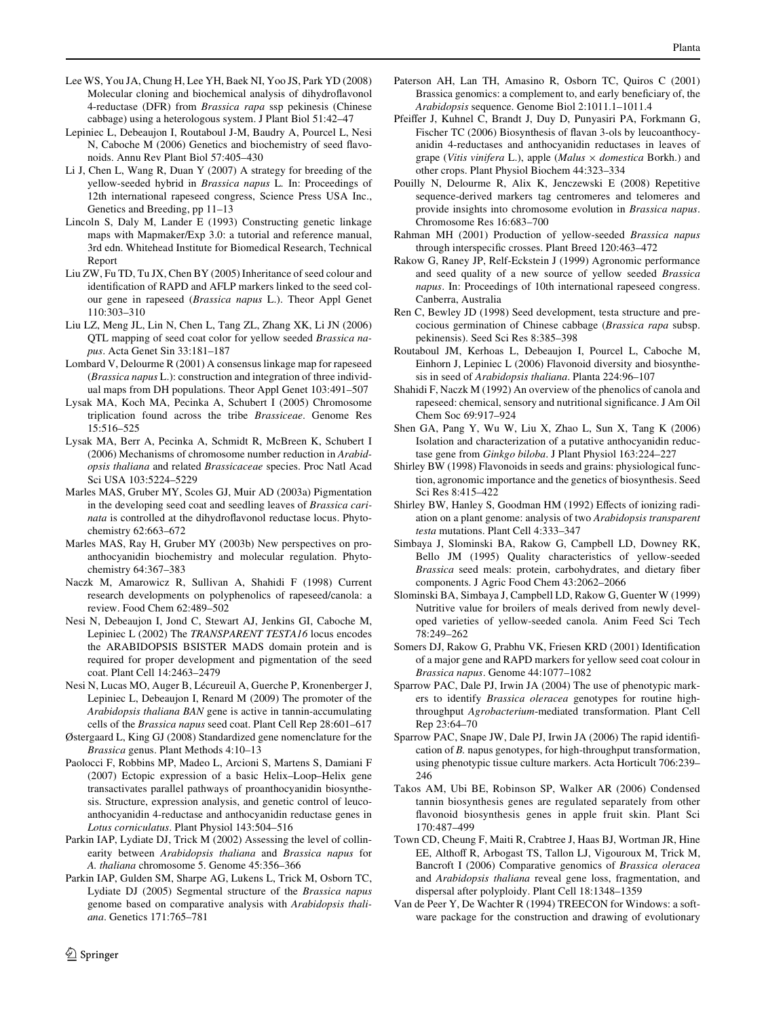- <span id="page-15-32"></span>Lee WS, You JA, Chung H, Lee YH, Baek NI, Yoo JS, Park YD (2008) Molecular cloning and biochemical analysis of dihydroflavonol 4-reductase (DFR) from *Brassica rapa* ssp pekinesis (Chinese cabbage) using a heterologous system. J Plant Biol 51:42–47
- <span id="page-15-14"></span>Lepiniec L, Debeaujon I, Routaboul J-M, Baudry A, Pourcel L, Nesi N, Caboche M (2006) Genetics and biochemistry of seed flavonoids. Annu Rev Plant Biol 57:405–430
- <span id="page-15-10"></span>Li J, Chen L, Wang R, Duan Y (2007) A strategy for breeding of the yellow-seeded hybrid in *Brassica napus* L*.* In: Proceedings of 12th international rapeseed congress, Science Press USA Inc., Genetics and Breeding, pp 11–13
- <span id="page-15-20"></span>Lincoln S, Daly M, Lander E (1993) Constructing genetic linkage maps with Mapmaker/Exp 3.0: a tutorial and reference manual, 3rd edn. Whitehead Institute for Biomedical Research, Technical Report
- <span id="page-15-12"></span>Liu ZW, Fu TD, Tu JX, Chen BY (2005) Inheritance of seed colour and identification of RAPD and AFLP markers linked to the seed colour gene in rapeseed (*Brassica napus* L.). Theor Appl Genet 110:303–310
- <span id="page-15-36"></span>Liu LZ, Meng JL, Lin N, Chen L, Tang ZL, Zhang XK, Li JN (2006) QTL mapping of seed coat color for yellow seeded *Brassica napus*. Acta Genet Sin 33:181–187
- <span id="page-15-19"></span>Lombard V, Delourme R (2001) A consensus linkage map for rapeseed (*Brassica napus* L.): construction and integration of three individual maps from DH populations. Theor Appl Genet 103:491–507
- <span id="page-15-33"></span>Lysak MA, Koch MA, Pecinka A, Schubert I (2005) Chromosome triplication found across the tribe *Brassiceae*. Genome Res 15:516–525
- <span id="page-15-34"></span>Lysak MA, Berr A, Pecinka A, Schmidt R, McBreen K, Schubert I (2006) Mechanisms of chromosome number reduction in *Arabidopsis thaliana* and related *Brassicaceae* species. Proc Natl Acad Sci USA 103:5224–5229
- <span id="page-15-13"></span>Marles MAS, Gruber MY, Scoles GJ, Muir AD (2003a) Pigmentation in the developing seed coat and seedling leaves of *Brassica carinata* is controlled at the dihydroflavonol reductase locus. Phytochemistry 62:663–672
- <span id="page-15-3"></span>Marles MAS, Ray H, Gruber MY (2003b) New perspectives on proanthocyanidin biochemistry and molecular regulation. Phytochemistry 64:367–383
- <span id="page-15-1"></span>Naczk M, Amarowicz R, Sullivan A, Shahidi F (1998) Current research developments on polyphenolics of rapeseed/canola: a review. Food Chem 62:489–502
- <span id="page-15-16"></span>Nesi N, Debeaujon I, Jond C, Stewart AJ, Jenkins GI, Caboche M, Lepiniec L (2002) The *TRANSPARENT TESTA16* locus encodes the ARABIDOPSIS BSISTER MADS domain protein and is required for proper development and pigmentation of the seed coat. Plant Cell 14:2463–2479
- <span id="page-15-2"></span>Nesi N, Lucas MO, Auger B, Lécureuil A, Guerche P, Kronenberger J, Lepiniec L, Debeaujon I, Renard M (2009) The promoter of the *Arabidopsis thaliana BAN* gene is active in tannin-accumulating cells of the *Brassica napus* seed coat. Plant Cell Rep 28:601–617
- <span id="page-15-27"></span>Østergaard L, King GJ (2008) Standardized gene nomenclature for the *Brassica* genus. Plant Methods 4:10–13
- <span id="page-15-24"></span>Paolocci F, Robbins MP, Madeo L, Arcioni S, Martens S, Damiani F (2007) Ectopic expression of a basic Helix–Loop–Helix gene transactivates parallel pathways of proanthocyanidin biosynthesis. Structure, expression analysis, and genetic control of leucoanthocyanidin 4-reductase and anthocyanidin reductase genes in *Lotus corniculatus*. Plant Physiol 143:504–516
- <span id="page-15-30"></span>Parkin IAP, Lydiate DJ, Trick M (2002) Assessing the level of collinearity between *Arabidopsis thaliana* and *Brassica napus* for *A. thaliana* chromosome 5. Genome 45:356–366
- <span id="page-15-31"></span>Parkin IAP, Gulden SM, Sharpe AG, Lukens L, Trick M, Osborn TC, Lydiate DJ (2005) Segmental structure of the *Brassica napus* genome based on comparative analysis with *Arabidopsis thaliana*. Genetics 171:765–781
- <span id="page-15-29"></span>Paterson AH, Lan TH, Amasino R, Osborn TC, Quiros C (2001) Brassica genomics: a complement to, and early beneficiary of, the *Arabidopsis* sequence. Genome Biol 2:1011.1–1011.4
- <span id="page-15-25"></span>Pfeiffer J, Kuhnel C, Brandt J, Duy D, Punyasiri PA, Forkmann G, Fischer TC (2006) Biosynthesis of flavan 3-ols by leucoanthocyanidin 4-reductases and anthocyanidin reductases in leaves of grape (*Vitis vinifera* L.), apple (*Malus* £ *domestica* Borkh.) and other crops. Plant Physiol Biochem 44:323–334
- <span id="page-15-28"></span>Pouilly N, Delourme R, Alix K, Jenczewski E (2008) Repetitive sequence-derived markers tag centromeres and telomeres and provide insights into chromosome evolution in *Brassica napus*. Chromosome Res 16:683–700
- <span id="page-15-6"></span>Rahman MH (2001) Production of yellow-seeded *Brassica napus* through interspecific crosses. Plant Breed 120:463-472
- <span id="page-15-8"></span>Rakow G, Raney JP, Relf-Eckstein J (1999) Agronomic performance and seed quality of a new source of yellow seeded *Brassica napus*. In: Proceedings of 10th international rapeseed congress. Canberra, Australia
- <span id="page-15-7"></span>Ren C, Bewley JD (1998) Seed development, testa structure and precocious germination of Chinese cabbage (*Brassica rapa* subsp. pekinensis). Seed Sci Res 8:385–398
- <span id="page-15-15"></span>Routaboul JM, Kerhoas L, Debeaujon I, Pourcel L, Caboche M, Einhorn J, Lepiniec L (2006) Flavonoid diversity and biosynthesis in seed of *Arabidopsis thaliana*. Planta 224:96–107
- <span id="page-15-0"></span>Shahidi F, Naczk M (1992) An overview of the phenolics of canola and rapeseed: chemical, sensory and nutritional significance. J Am Oil Chem Soc 69:917–924
- <span id="page-15-23"></span>Shen GA, Pang Y, Wu W, Liu X, Zhao L, Sun X, Tang K (2006) Isolation and characterization of a putative anthocyanidin reductase gene from *Ginkgo biloba*. J Plant Physiol 163:224–227
- <span id="page-15-9"></span>Shirley BW (1998) Flavonoids in seeds and grains: physiological function, agronomic importance and the genetics of biosynthesis. Seed Sci Res 8:415–422
- <span id="page-15-22"></span>Shirley BW, Hanley S, Goodman HM (1992) Effects of ionizing radiation on a plant genome: analysis of two *Arabidopsis transparent testa* mutations. Plant Cell 4:333–347
- <span id="page-15-4"></span>Simbaya J, Slominski BA, Rakow G, Campbell LD, Downey RK, Bello JM (1995) Quality characteristics of yellow-seeded *Brassica* seed meals: protein, carbohydrates, and dietary fiber components. J Agric Food Chem 43:2062–2066
- <span id="page-15-5"></span>Slominski BA, Simbaya J, Campbell LD, Rakow G, Guenter W (1999) Nutritive value for broilers of meals derived from newly developed varieties of yellow-seeded canola. Anim Feed Sci Tech 78:249–262
- <span id="page-15-11"></span>Somers DJ, Rakow G, Prabhu VK, Friesen KRD (2001) Identification of a major gene and RAPD markers for yellow seed coat colour in *Brassica napus*. Genome 44:1077–1082
- <span id="page-15-17"></span>Sparrow PAC, Dale PJ, Irwin JA (2004) The use of phenotypic markers to identify *Brassica oleracea* genotypes for routine highthroughput *Agrobacterium*-mediated transformation. Plant Cell Rep 23:64–70
- <span id="page-15-18"></span>Sparrow PAC, Snape JW, Dale PJ, Irwin JA (2006) The rapid identification of *B.* napus genotypes, for high-throughput transformation, using phenotypic tissue culture markers. Acta Horticult 706:239– 246
- <span id="page-15-26"></span>Takos AM, Ubi BE, Robinson SP, Walker AR (2006) Condensed tannin biosynthesis genes are regulated separately from other flavonoid biosynthesis genes in apple fruit skin. Plant Sci 170:487–499
- <span id="page-15-35"></span>Town CD, Cheung F, Maiti R, Crabtree J, Haas BJ, Wortman JR, Hine EE, Althoff R, Arbogast TS, Tallon LJ, Vigouroux M, Trick M, Bancroft I (2006) Comparative genomics of *Brassica oleracea* and *Arabidopsis thaliana* reveal gene loss, fragmentation, and dispersal after polyploidy. Plant Cell 18:1348–1359
- <span id="page-15-21"></span>Van de Peer Y, De Wachter R (1994) TREECON for Windows: a software package for the construction and drawing of evolutionary